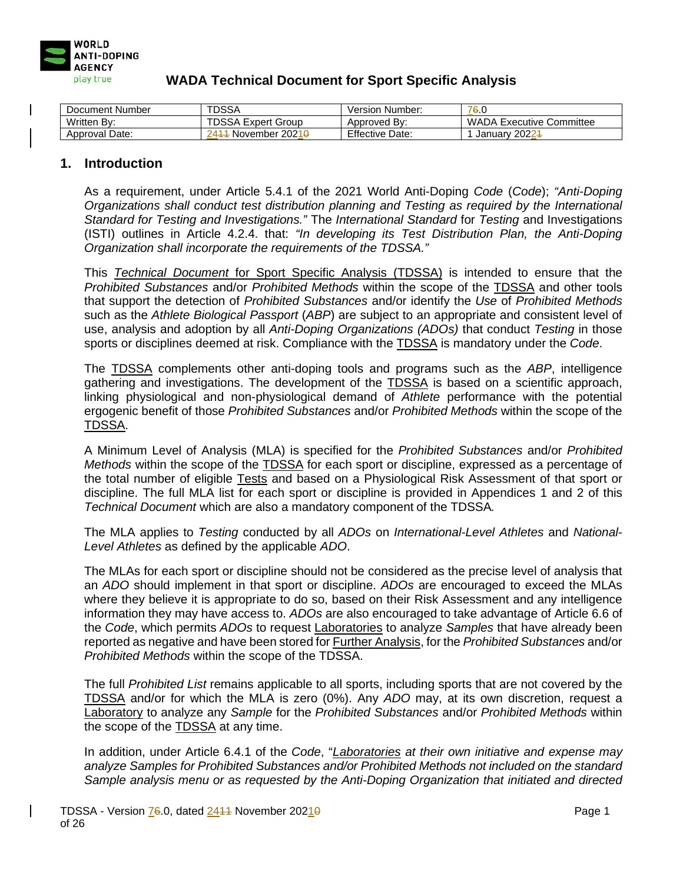

| Document Number | <b>TDSSA</b>                      | Version Number:        | 76.0                            |
|-----------------|-----------------------------------|------------------------|---------------------------------|
| Written By:     | <b>TDSSA Expert Group</b>         | Approved By:           | <b>WADA Executive Committee</b> |
| Approval Date:  | November 2021 <del>0</del><br>241 | <b>Effective Date:</b> | January 20224                   |

#### **1. Introduction**

As a requirement, under Article 5.4.1 of the 2021 World Anti-Doping *Code* (*Code*); *"Anti-Doping Organizations shall conduct test distribution planning and Testing as required by the International Standard for Testing and Investigations."* The *International Standard* for *Testing* and Investigations (ISTI) outlines in Article 4.2.4. that: *"In developing its Test Distribution Plan, the Anti-Doping Organization shall incorporate the requirements of the TDSSA."*

This *Technical Document* for Sport Specific Analysis (TDSSA) is intended to ensure that the *Prohibited Substances* and/or *Prohibited Methods* within the scope of the TDSSA and other tools that support the detection of *Prohibited Substances* and/or identify the *Use* of *Prohibited Methods* such as the *Athlete Biological Passport* (*ABP*) are subject to an appropriate and consistent level of use, analysis and adoption by all *Anti-Doping Organizations (ADOs)* that conduct *Testing* in those sports or disciplines deemed at risk. Compliance with the TDSSA is mandatory under the *Code*.

The TDSSA complements other anti-doping tools and programs such as the *ABP*, intelligence gathering and investigations. The development of the **TDSSA** is based on a scientific approach, linking physiological and non-physiological demand of *Athlete* performance with the potential ergogenic benefit of those *Prohibited Substances* and/or *Prohibited Methods* within the scope of the TDSSA.

A Minimum Level of Analysis (MLA) is specified for the *Prohibited Substances* and/or *Prohibited Methods* within the scope of the TDSSA for each sport or discipline, expressed as a percentage of the total number of eligible Tests and based on a Physiological Risk Assessment of that sport or discipline. The full MLA list for each sport or discipline is provided in Appendices 1 and 2 of this *Technical Document* which are also a mandatory component of the TDSSA*.* 

The MLA applies to *Testing* conducted by all *ADOs* on *International-Level Athletes* and *National-Level Athletes* as defined by the applicable *ADO*.

The MLAs for each sport or discipline should not be considered as the precise level of analysis that an *ADO* should implement in that sport or discipline. *ADOs* are encouraged to exceed the MLAs where they believe it is appropriate to do so, based on their Risk Assessment and any intelligence information they may have access to. *ADOs* are also encouraged to take advantage of Article 6.6 of the *Code*, which permits *ADOs* to request Laboratories to analyze *Samples* that have already been reported as negative and have been stored for Further Analysis, for the *Prohibited Substances* and/or *Prohibited Methods* within the scope of the TDSSA.

The full *Prohibited List* remains applicable to all sports, including sports that are not covered by the TDSSA and/or for which the MLA is zero (0%). Any *ADO* may, at its own discretion, request a Laboratory to analyze any *Sample* for the *Prohibited Substances* and/or *Prohibited Methods* within the scope of the TDSSA at any time.

In addition, under Article 6.4.1 of the *Code*, "*Laboratories at their own initiative and expense may analyze Samples for Prohibited Substances and/or Prohibited Methods not included on the standard Sample analysis menu or as requested by the Anti-Doping Organization that initiated and directed*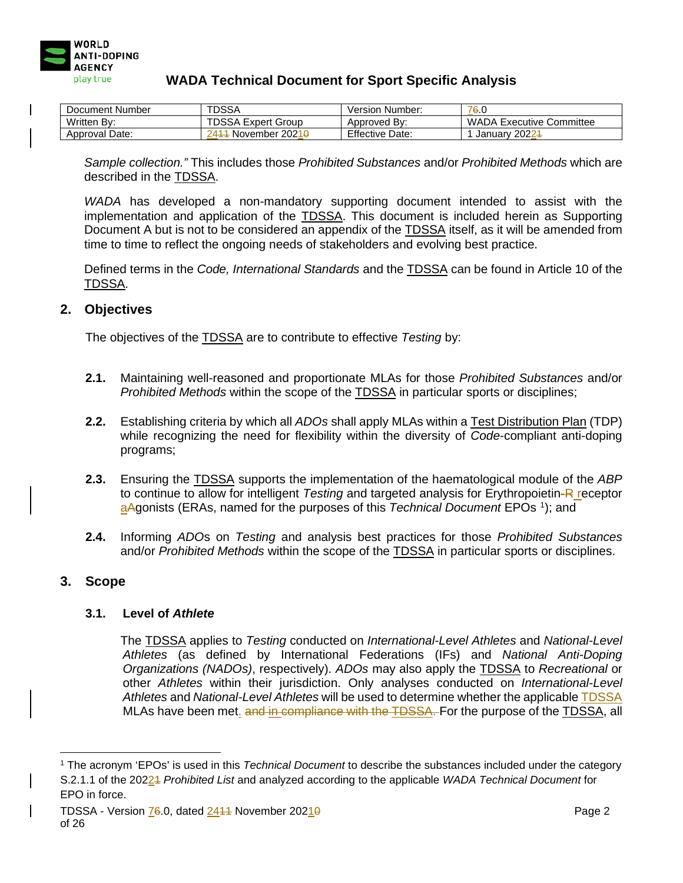

| Document Number | <b>TDSSA</b>                                    | Version Number:        | 76.0                            |
|-----------------|-------------------------------------------------|------------------------|---------------------------------|
| Written By:     | <b>TDSSA Expert Group</b>                       | Approved By:           | <b>WADA Executive Committee</b> |
| Approval Date:  | <sup>1</sup> November 2021 <del>0</del><br>2411 | <b>Effective Date:</b> | January 20224                   |

*Sample collection."* This includes those *Prohibited Substances* and/or *Prohibited Methods* which are described in the TDSSA.

*WADA* has developed a non-mandatory supporting document intended to assist with the implementation and application of the TDSSA. This document is included herein as Supporting Document A but is not to be considered an appendix of the TDSSA itself, as it will be amended from time to time to reflect the ongoing needs of stakeholders and evolving best practice.

Defined terms in the *Code, International Standards* and the TDSSA can be found in Article 10 of the TDSSA.

### **2. Objectives**

The objectives of the TDSSA are to contribute to effective *Testing* by:

- **2.1.** Maintaining well-reasoned and proportionate MLAs for those *Prohibited Substances* and/or *Prohibited Methods* within the scope of the TDSSA in particular sports or disciplines;
- **2.2.** Establishing criteria by which all *ADOs* shall apply MLAs within a Test Distribution Plan (TDP) while recognizing the need for flexibility within the diversity of *Code*-compliant anti-doping programs;
- **2.3.** Ensuring the TDSSA supports the implementation of the haematological module of the *ABP*  to continue to allow for intelligent *Testing* and targeted analysis for Erythropoietin-R receptor aAgonists (ERAs, named for the purposes of this *Technical Document* EPOs [1](#page-1-0) ); and
- **2.4.** Informing *ADO*s on *Testing* and analysis best practices for those *Prohibited Substances* and/or *Prohibited Methods* within the scope of the TDSSA in particular sports or disciplines.

## **3. Scope**

#### **3.1. Level of** *Athlete*

The TDSSA applies to *Testing* conducted on *International-Level Athletes* and *National-Level Athletes* (as defined by International Federations (IFs) and *National Anti-Doping Organizations (NADOs)*, respectively). *ADOs* may also apply the TDSSA to *Recreational* or other *Athletes* within their jurisdiction. Only analyses conducted on *International-Level Athletes* and *National-Level Athletes* will be used to determine whether the applicable TDSSA MLAs have been met. and in compliance with the TDSSA. For the purpose of the TDSSA, all

<span id="page-1-0"></span><sup>1</sup> The acronym 'EPOs' is used in this *Technical Document* to describe the substances included under the category S.2.1.1 of the 20221 *Prohibited List* and analyzed according to the applicable *WADA Technical Document* for EPO in force.

TDSSA - Version 76.0, dated 2444 November 20210 Page 2 of 26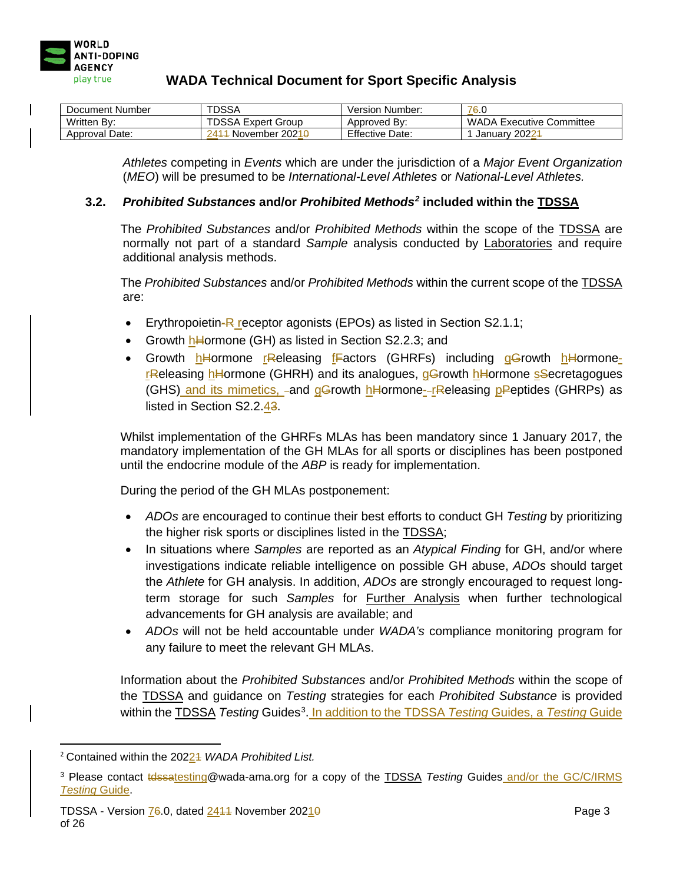

| Document Number | TDSSA                                | <b>Version Number:</b> | 76.0                            |
|-----------------|--------------------------------------|------------------------|---------------------------------|
| Written Bv:     | <b>TDSSA Expert Group</b>            | Approved By:           | <b>WADA Executive Committee</b> |
| Approval Date:  | - November 2021 <del>0</del><br>ج41^ | <b>Effective Date:</b> | January 20224                   |

*Athletes* competing in *Events* which are under the jurisdiction of a *Major Event Organization* (*MEO*) will be presumed to be *International-Level Athletes* or *National-Level Athletes.*

#### **3.2.** *Prohibited Substances* **and/or** *Prohibited Methods[2](#page-2-0)* **included within the TDSSA**

The *Prohibited Substances* and/or *Prohibited Methods* within the scope of the TDSSA are normally not part of a standard *Sample* analysis conducted by Laboratories and require additional analysis methods.

The *Prohibited Substances* and/or *Prohibited Methods* within the current scope of the TDSSA are:

- Erythropoietin- $R$  receptor agonists (EPOs) as listed in Section S2.1.1;
- Growth hHormone (GH) as listed in Section S2.2.3; and
- Growth hHormone rReleasing fFactors (GHRFs) including gGrowth hHormonerReleasing hHormone (GHRH) and its analogues, gGrowth hHormone sSecretagogues (GHS) and its mimetics, -and gGrowth hHormone--rReleasing pPeptides (GHRPs) as listed in Section S2.2.43.

Whilst implementation of the GHRFs MLAs has been mandatory since 1 January 2017, the mandatory implementation of the GH MLAs for all sports or disciplines has been postponed until the endocrine module of the *ABP* is ready for implementation.

During the period of the GH MLAs postponement:

- *ADOs* are encouraged to continue their best efforts to conduct GH *Testing* by prioritizing the higher risk sports or disciplines listed in the TDSSA;
- In situations where *Samples* are reported as an *Atypical Finding* for GH, and/or where investigations indicate reliable intelligence on possible GH abuse, *ADOs* should target the *Athlete* for GH analysis. In addition, *ADOs* are strongly encouraged to request longterm storage for such *Samples* for Further Analysis when further technological advancements for GH analysis are available; and
- *ADOs* will not be held accountable under *WADA's* compliance monitoring program for any failure to meet the relevant GH MLAs.

Information about the *Prohibited Substances* and/or *Prohibited Methods* within the scope of the TDSSA and guidance on *Testing* strategies for each *Prohibited Substance* is provided within the **TDSSA** *Testing* **Guides<sup>[3](#page-2-1)</sup>. In addition to the TDSSA** *Testing* **Guides, a Testing Guide** 

<span id="page-2-0"></span><sup>2</sup> Contained within the 20221 *WADA Prohibited List.*

<span id="page-2-1"></span><sup>&</sup>lt;sup>3</sup> Please contact **telssatesting@wada-ama.org for a copy of the TDSSA** *Testing* **Guides and/or the GC/C/IRMS** *Testing* Guide.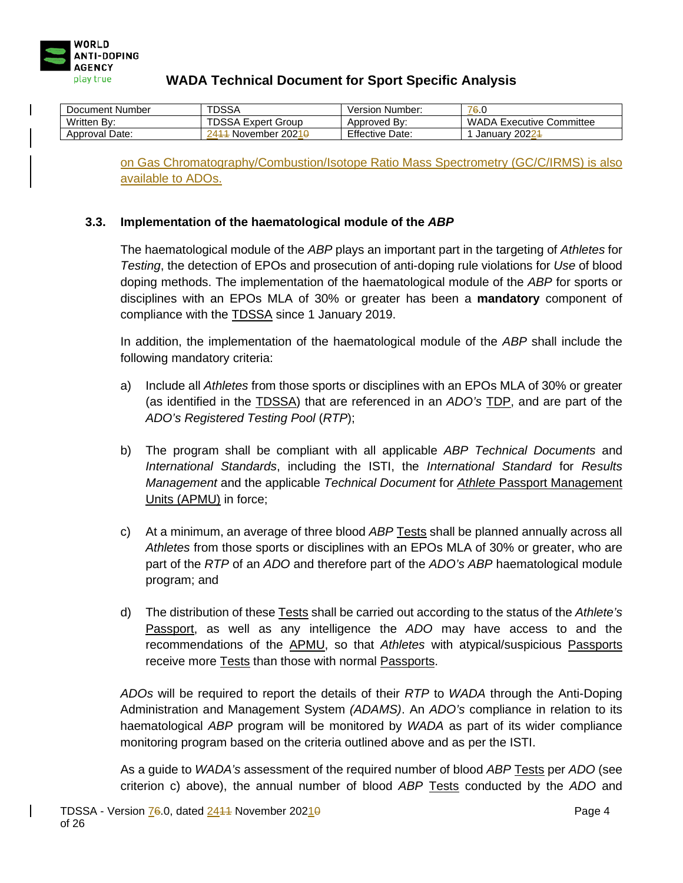

| Document Number | TDSSA                             | Version Number:        | 76.0                     |
|-----------------|-----------------------------------|------------------------|--------------------------|
| Written By:     | <b>TDSSA Expert Group</b>         | Approved By:           | WADA Executive Committee |
| Approval Date:  | November 2021 <del>0</del><br>241 | <b>Effective Date:</b> | January 20224            |

on Gas Chromatography/Combustion/Isotope Ratio Mass Spectrometry (GC/C/IRMS) is also available to ADOs.

#### **3.3. Implementation of the haematological module of the** *ABP*

The haematological module of the *ABP* plays an important part in the targeting of *Athletes* for *Testing*, the detection of EPOs and prosecution of anti-doping rule violations for *Use* of blood doping methods. The implementation of the haematological module of the *ABP* for sports or disciplines with an EPOs MLA of 30% or greater has been a **mandatory** component of compliance with the TDSSA since 1 January 2019.

In addition, the implementation of the haematological module of the *ABP* shall include the following mandatory criteria:

- a) Include all *Athletes* from those sports or disciplines with an EPOs MLA of 30% or greater (as identified in the TDSSA) that are referenced in an *ADO's* TDP, and are part of the *ADO's Registered Testing Pool* (*RTP*);
- b) The program shall be compliant with all applicable *ABP Technical Documents* and *International Standards*, including the ISTI, the *International Standard* for *Results Management* and the applicable *Technical Document* for *Athlete* Passport Management Units (APMU) in force;
- c) At a minimum, an average of three blood *ABP* Tests shall be planned annually across all *Athletes* from those sports or disciplines with an EPOs MLA of 30% or greater, who are part of the *RTP* of an *ADO* and therefore part of the *ADO's ABP* haematological module program; and
- d) The distribution of these Tests shall be carried out according to the status of the *Athlete's* Passport, as well as any intelligence the *ADO* may have access to and the recommendations of the APMU, so that *Athletes* with atypical/suspicious Passports receive more Tests than those with normal Passports.

*ADOs* will be required to report the details of their *RTP* to *WADA* through the Anti-Doping Administration and Management System *(ADAMS)*. An *ADO's* compliance in relation to its haematological *ABP* program will be monitored by *WADA* as part of its wider compliance monitoring program based on the criteria outlined above and as per the ISTI.

As a guide to *WADA's* assessment of the required number of blood *ABP* Tests per *ADO* (see criterion c) above), the annual number of blood *ABP* Tests conducted by the *ADO* and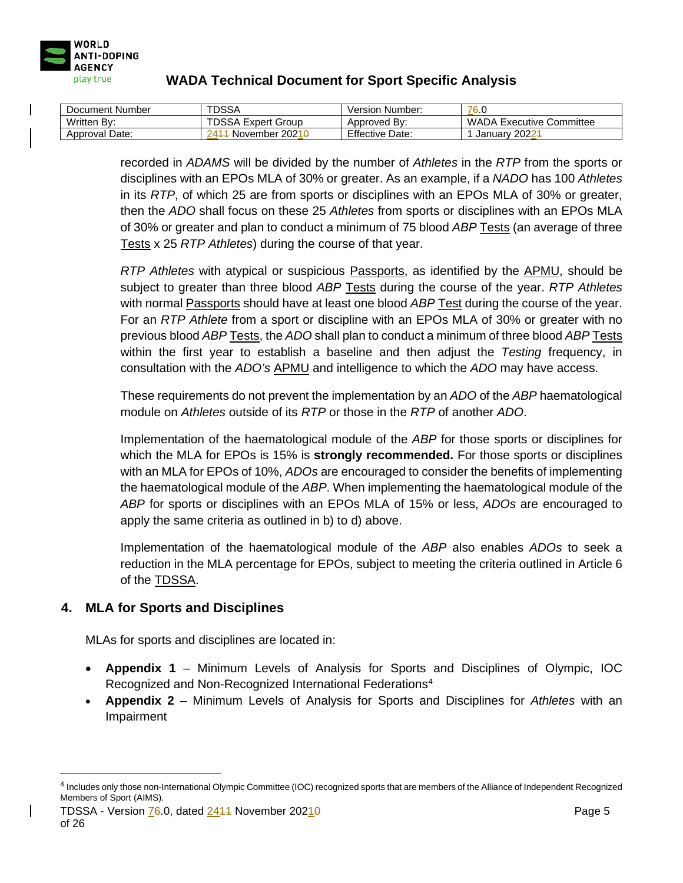

| Document Number | <b>TDSSA</b>                       | Version Number:        | 76.0                            |
|-----------------|------------------------------------|------------------------|---------------------------------|
| Written By:     | <b>TDSSA Expert Group</b>          | Approved By:           | <b>WADA Executive Committee</b> |
| Approval Date:  | November 2021 <del>0</del><br>2411 | <b>Effective Date:</b> | January 20224                   |

recorded in *ADAMS* will be divided by the number of *Athletes* in the *RTP* from the sports or disciplines with an EPOs MLA of 30% or greater. As an example, if a *NADO* has 100 *Athletes* in its *RTP*, of which 25 are from sports or disciplines with an EPOs MLA of 30% or greater, then the *ADO* shall focus on these 25 *Athletes* from sports or disciplines with an EPOs MLA of 30% or greater and plan to conduct a minimum of 75 blood *ABP* Tests (an average of three Tests x 25 *RTP Athletes*) during the course of that year.

*RTP Athletes* with atypical or suspicious Passports, as identified by the APMU, should be subject to greater than three blood *ABP* Tests during the course of the year. *RTP Athletes* with normal Passports should have at least one blood *ABP* Test during the course of the year. For an *RTP Athlete* from a sport or discipline with an EPOs MLA of 30% or greater with no previous blood *ABP* Tests, the *ADO* shall plan to conduct a minimum of three blood *ABP* Tests within the first year to establish a baseline and then adjust the *Testing* frequency, in consultation with the *ADO's* APMU and intelligence to which the *ADO* may have access.

These requirements do not prevent the implementation by an *ADO* of the *ABP* haematological module on *Athletes* outside of its *RTP* or those in the *RTP* of another *ADO*.

Implementation of the haematological module of the *ABP* for those sports or disciplines for which the MLA for EPOs is 15% is **strongly recommended.** For those sports or disciplines with an MLA for EPOs of 10%, *ADOs* are encouraged to consider the benefits of implementing the haematological module of the *ABP*. When implementing the haematological module of the *ABP* for sports or disciplines with an EPOs MLA of 15% or less, *ADOs* are encouraged to apply the same criteria as outlined in b) to d) above.

Implementation of the haematological module of the *ABP* also enables *ADOs* to seek a reduction in the MLA percentage for EPOs, subject to meeting the criteria outlined in Article 6 of the TDSSA.

## **4. MLA for Sports and Disciplines**

MLAs for sports and disciplines are located in:

- **Appendix 1**  Minimum Levels of Analysis for Sports and Disciplines of Olympic, IOC Recognized and Non-Recognized International Federations<sup>[4](#page-4-0)</sup>
- **Appendix 2** Minimum Levels of Analysis for Sports and Disciplines for *Athletes* with an Impairment

<span id="page-4-0"></span><sup>4</sup> Includes only those non-International Olympic Committee (IOC) recognized sports that are members of the Alliance of Independent Recognized Members of Sport (AIMS).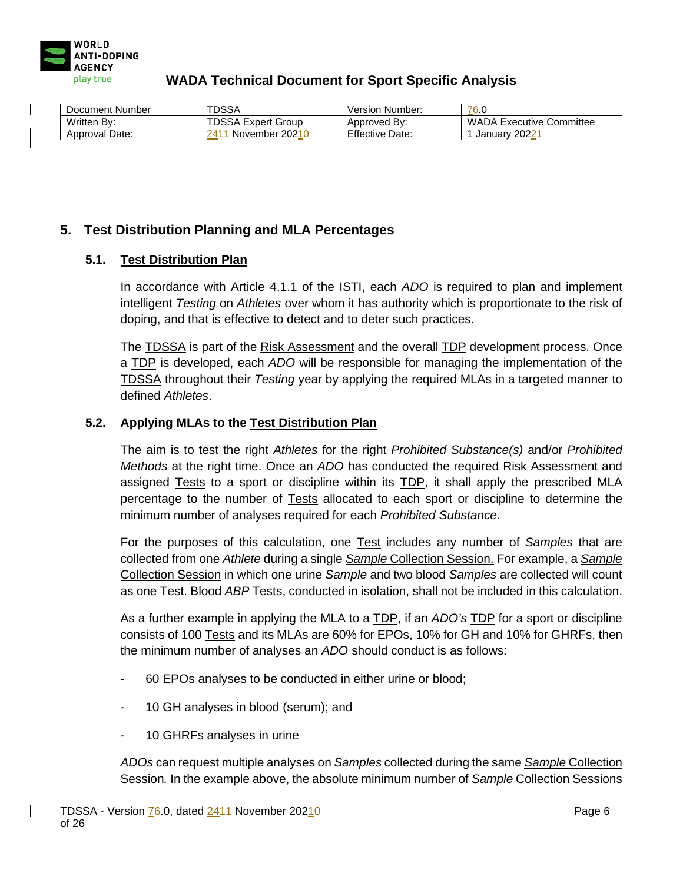

| Document Number   | <b>TDSSA</b>                       | Version Number:        | 76.0                            |
|-------------------|------------------------------------|------------------------|---------------------------------|
| Written By:       | <b>TDSSA Expert Group</b>          | Approved By:           | <b>WADA Executive Committee</b> |
| Date:<br>Approval | November 2021 <del>0</del><br>ገ41– | <b>Effective Date:</b> | January 20224                   |

## **5. Test Distribution Planning and MLA Percentages**

#### **5.1. Test Distribution Plan**

In accordance with Article 4.1.1 of the ISTI, each *ADO* is required to plan and implement intelligent *Testing* on *Athletes* over whom it has authority which is proportionate to the risk of doping, and that is effective to detect and to deter such practices.

The TDSSA is part of the Risk Assessment and the overall TDP development process. Once a TDP is developed, each *ADO* will be responsible for managing the implementation of the TDSSA throughout their *Testing* year by applying the required MLAs in a targeted manner to defined *Athletes*.

#### **5.2. Applying MLAs to the Test Distribution Plan**

The aim is to test the right *Athletes* for the right *Prohibited Substance(s)* and/or *Prohibited Methods* at the right time. Once an *ADO* has conducted the required Risk Assessment and assigned Tests to a sport or discipline within its TDP, it shall apply the prescribed MLA percentage to the number of Tests allocated to each sport or discipline to determine the minimum number of analyses required for each *Prohibited Substance*.

For the purposes of this calculation, one Test includes any number of *Samples* that are collected from one *Athlete* during a single *Sample* Collection Session. For example, a *Sample* Collection Session in which one urine *Sample* and two blood *Samples* are collected will count as one Test. Blood *ABP* Tests, conducted in isolation, shall not be included in this calculation.

As a further example in applying the MLA to a TDP, if an *ADO's* TDP for a sport or discipline consists of 100 Tests and its MLAs are 60% for EPOs, 10% for GH and 10% for GHRFs, then the minimum number of analyses an *ADO* should conduct is as follows:

- 60 EPOs analyses to be conducted in either urine or blood;
- 10 GH analyses in blood (serum); and
- 10 GHRFs analyses in urine

*ADOs* can request multiple analyses on *Samples* collected during the same *Sample* Collection Session*.* In the example above, the absolute minimum number of *Sample* Collection Sessions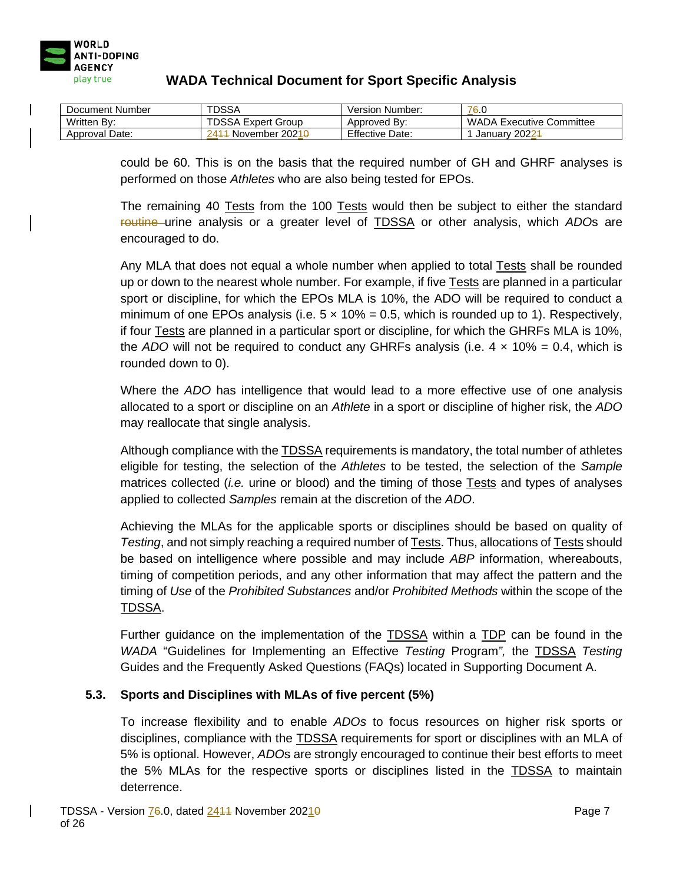

| Document Number | TDSSA                              | Version Number:        | 76.0                            |
|-----------------|------------------------------------|------------------------|---------------------------------|
| Written By:     | <b>TDSSA Expert Group</b>          | Approved By:           | <b>WADA Executive Committee</b> |
| Approval Date:  | November 2021 <del>0</del><br>2411 | <b>Effective Date:</b> | January 20224                   |

could be 60. This is on the basis that the required number of GH and GHRF analyses is performed on those *Athletes* who are also being tested for EPOs.

The remaining 40 Tests from the 100 Tests would then be subject to either the standard routine urine analysis or a greater level of TDSSA or other analysis, which *ADO*s are encouraged to do.

Any MLA that does not equal a whole number when applied to total Tests shall be rounded up or down to the nearest whole number. For example, if five Tests are planned in a particular sport or discipline, for which the EPOs MLA is 10%, the ADO will be required to conduct a minimum of one EPOs analysis (i.e.  $5 \times 10\% = 0.5$ , which is rounded up to 1). Respectively, if four Tests are planned in a particular sport or discipline, for which the GHRFs MLA is 10%, the *ADO* will not be required to conduct any GHRFs analysis (i.e.  $4 \times 10\% = 0.4$ , which is rounded down to 0).

Where the *ADO* has intelligence that would lead to a more effective use of one analysis allocated to a sport or discipline on an *Athlete* in a sport or discipline of higher risk, the *ADO* may reallocate that single analysis.

Although compliance with the TDSSA requirements is mandatory, the total number of athletes eligible for testing, the selection of the *Athletes* to be tested, the selection of the *Sample*  matrices collected (*i.e.* urine or blood) and the timing of those Tests and types of analyses applied to collected *Samples* remain at the discretion of the *ADO*.

Achieving the MLAs for the applicable sports or disciplines should be based on quality of *Testing*, and not simply reaching a required number of Tests. Thus, allocations of Tests should be based on intelligence where possible and may include *ABP* information, whereabouts, timing of competition periods, and any other information that may affect the pattern and the timing of *Use* of the *Prohibited Substances* and/or *Prohibited Methods* within the scope of the TDSSA.

Further guidance on the implementation of the TDSSA within a TDP can be found in the *WADA* "Guidelines for Implementing an Effective *Testing* Program*",* the TDSSA *Testing*  Guides and the Frequently Asked Questions (FAQs) located in Supporting Document A.

## **5.3. Sports and Disciplines with MLAs of five percent (5%)**

To increase flexibility and to enable *ADOs* to focus resources on higher risk sports or disciplines, compliance with the TDSSA requirements for sport or disciplines with an MLA of 5% is optional. However, *ADO*s are strongly encouraged to continue their best efforts to meet the 5% MLAs for the respective sports or disciplines listed in the TDSSA to maintain deterrence.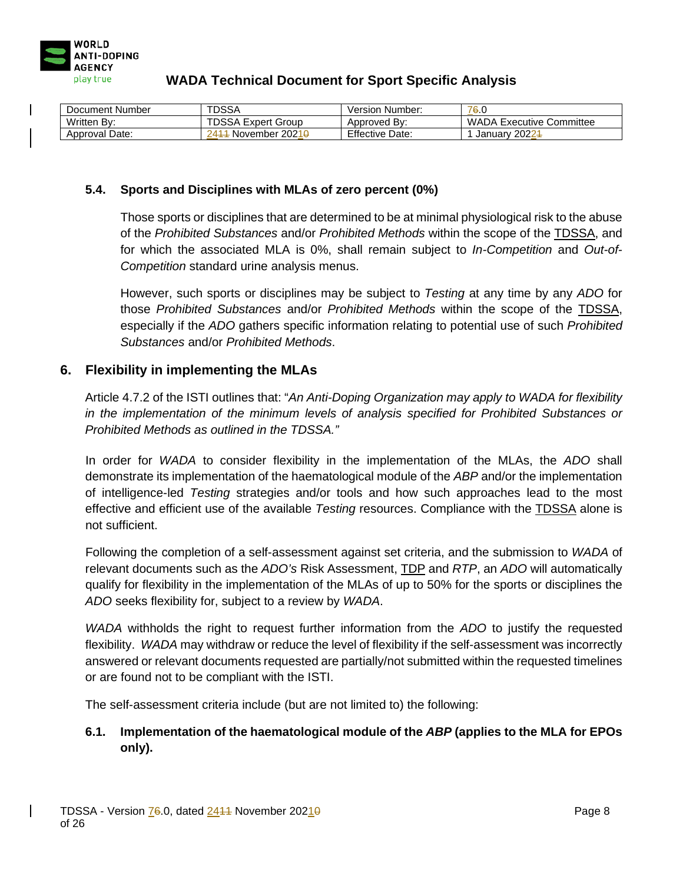

| Document Number | TDSSA                     | Version Number:        | 76.0                            |
|-----------------|---------------------------|------------------------|---------------------------------|
| Written By:     | <b>TDSSA Expert Group</b> | Approved By:           | <b>WADA Executive Committee</b> |
| Approval Date:  | 2414 November 20219       | <b>Effective Date:</b> | January 20224                   |

#### **5.4. Sports and Disciplines with MLAs of zero percent (0%)**

Those sports or disciplines that are determined to be at minimal physiological risk to the abuse of the *Prohibited Substances* and/or *Prohibited Methods* within the scope of the TDSSA, and for which the associated MLA is 0%, shall remain subject to *In-Competition* and *Out-of-Competition* standard urine analysis menus.

However, such sports or disciplines may be subject to *Testing* at any time by any *ADO* for those *Prohibited Substances* and/or *Prohibited Methods* within the scope of the TDSSA, especially if the *ADO* gathers specific information relating to potential use of such *Prohibited Substances* and/or *Prohibited Methods*.

### **6. Flexibility in implementing the MLAs**

Article 4.7.2 of the ISTI outlines that: "*An Anti-Doping Organization may apply to WADA for flexibility in the implementation of the minimum levels of analysis specified for Prohibited Substances or Prohibited Methods as outlined in the TDSSA."*

In order for *WADA* to consider flexibility in the implementation of the MLAs, the *ADO* shall demonstrate its implementation of the haematological module of the *ABP* and/or the implementation of intelligence-led *Testing* strategies and/or tools and how such approaches lead to the most effective and efficient use of the available *Testing* resources. Compliance with the TDSSA alone is not sufficient.

Following the completion of a self-assessment against set criteria, and the submission to *WADA* of relevant documents such as the *ADO's* Risk Assessment, TDP and *RTP*, an *ADO* will automatically qualify for flexibility in the implementation of the MLAs of up to 50% for the sports or disciplines the *ADO* seeks flexibility for, subject to a review by *WADA*.

*WADA* withholds the right to request further information from the *ADO* to justify the requested flexibility. *WADA* may withdraw or reduce the level of flexibility if the self-assessment was incorrectly answered or relevant documents requested are partially/not submitted within the requested timelines or are found not to be compliant with the ISTI.

The self-assessment criteria include (but are not limited to) the following:

## **6.1. Implementation of the haematological module of the** *ABP* **(applies to the MLA for EPOs only).**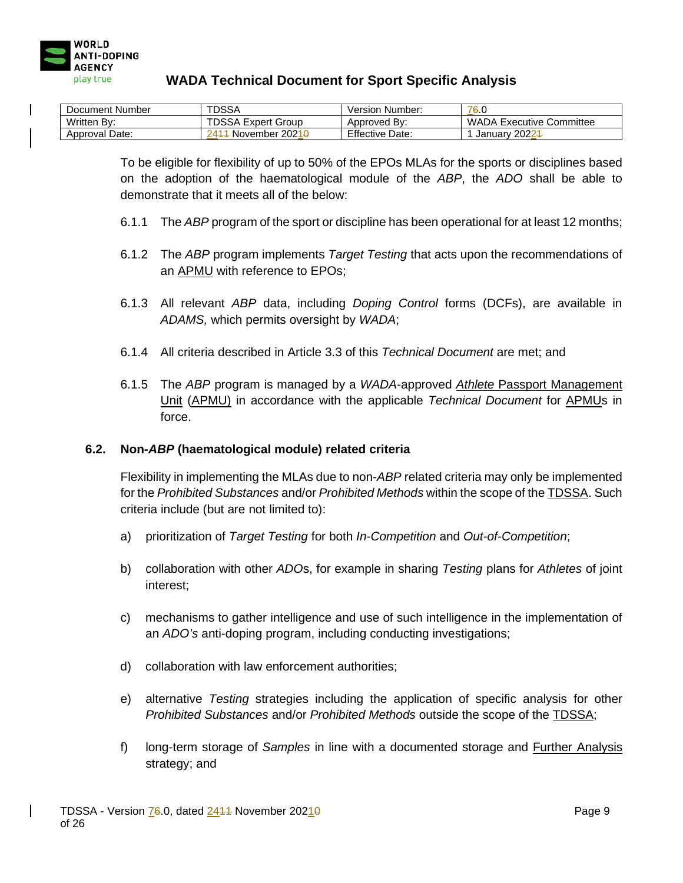

| Document Number | <b>TDSSA</b>                        | Version Number:        | 76.0                            |
|-----------------|-------------------------------------|------------------------|---------------------------------|
| Written By:     | <b>TDSSA Expert Group</b>           | Approved By:           | <b>WADA Executive Committee</b> |
| Approval Date:  | - November 2021 <del>0</del><br>241 | <b>Effective Date:</b> | January 20224                   |

To be eligible for flexibility of up to 50% of the EPOs MLAs for the sports or disciplines based on the adoption of the haematological module of the *ABP*, the *ADO* shall be able to demonstrate that it meets all of the below:

- 6.1.1 The *ABP* program of the sport or discipline has been operational for at least 12 months;
- 6.1.2 The *ABP* program implements *Target Testing* that acts upon the recommendations of an APMU with reference to EPOs;
- 6.1.3 All relevant *ABP* data, including *Doping Control* forms (DCFs), are available in *ADAMS,* which permits oversight by *WADA*;
- 6.1.4 All criteria described in Article 3.3 of this *Technical Document* are met; and
- 6.1.5 The *ABP* program is managed by a *WADA*-approved *Athlete* Passport Management Unit (APMU) in accordance with the applicable *Technical Document* for APMUs in force.

#### **6.2. Non-***ABP* **(haematological module) related criteria**

Flexibility in implementing the MLAs due to non-*ABP* related criteria may only be implemented for the *Prohibited Substances* and/or *Prohibited Methods* within the scope of the TDSSA. Such criteria include (but are not limited to):

- a) prioritization of *Target Testing* for both *In-Competition* and *Out-of-Competition*;
- b) collaboration with other *ADO*s, for example in sharing *Testing* plans for *Athletes* of joint interest;
- c) mechanisms to gather intelligence and use of such intelligence in the implementation of an *ADO's* anti-doping program, including conducting investigations;
- d) collaboration with law enforcement authorities;
- e) alternative *Testing* strategies including the application of specific analysis for other *Prohibited Substances* and/or *Prohibited Methods* outside the scope of the TDSSA;
- f) long-term storage of *Samples* in line with a documented storage and Further Analysis strategy; and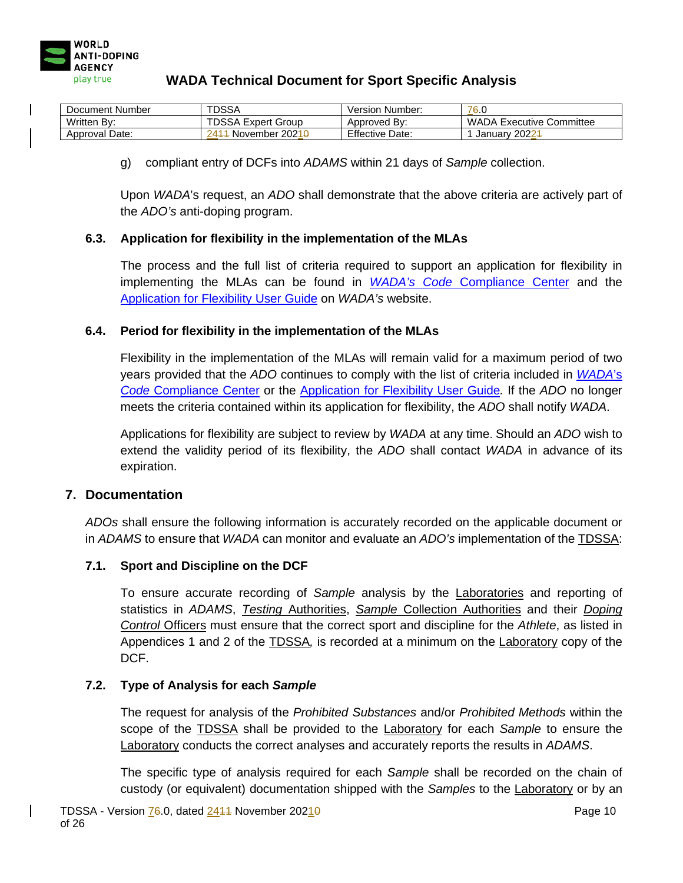

| Document Number | TDSSA                             | Version Number:        | 76.0                            |
|-----------------|-----------------------------------|------------------------|---------------------------------|
| Written By:     | <b>TDSSA Expert Group</b>         | Approved By:           | <b>WADA Executive Committee</b> |
| Approval Date:  | November 2021 <del>0</del><br>241 | <b>Effective Date:</b> | January 20224                   |

g) compliant entry of DCFs into *ADAMS* within 21 days of *Sample* collection.

Upon *WADA*'s request, an *ADO* shall demonstrate that the above criteria are actively part of the *ADO's* anti-doping program.

#### **6.3. Application for flexibility in the implementation of the MLAs**

The process and the full list of criteria required to support an application for flexibility in implementing the MLAs can be found in *WADA's Code* [Compliance Center](https://ccq.wada-ama.org/ccq/pages/login.xhtml) and the [Application for Flexibility User Guide](https://www.wada-ama.org/sites/default/files/resources/files/tdssa_application_for_flexibility_user_guide_en.pdf) on *WADA's* website.

#### **6.4. Period for flexibility in the implementation of the MLAs**

Flexibility in the implementation of the MLAs will remain valid for a maximum period of two years provided that the *ADO* continues to comply with the list of criteria included in *[WADA](https://ccq.wada-ama.org/ccq/pages/login.xhtml)*'s *Code* [Compliance Center](https://ccq.wada-ama.org/ccq/pages/login.xhtml) or the [Application for Flexibility User Guide](https://www.wada-ama.org/sites/default/files/resources/files/tdssa_application_for_flexibility_user_guide_en.pdf)*.* If the *ADO* no longer meets the criteria contained within its application for flexibility, the *ADO* shall notify *WADA*.

Applications for flexibility are subject to review by *WADA* at any time. Should an *ADO* wish to extend the validity period of its flexibility, the *ADO* shall contact *WADA* in advance of its expiration.

#### **7. Documentation**

*ADOs* shall ensure the following information is accurately recorded on the applicable document or in *ADAMS* to ensure that *WADA* can monitor and evaluate an *ADO's* implementation of the TDSSA:

#### **7.1. Sport and Discipline on the DCF**

To ensure accurate recording of *Sample* analysis by the Laboratories and reporting of statistics in *ADAMS*, *Testing* Authorities, *Sample* Collection Authorities and their *Doping Control* Officers must ensure that the correct sport and discipline for the *Athlete*, as listed in Appendices 1 and 2 of the TDSSA*,* is recorded at a minimum on the Laboratory copy of the DCF.

#### **7.2. Type of Analysis for each** *Sample*

The request for analysis of the *Prohibited Substances* and/or *Prohibited Methods* within the scope of the TDSSA shall be provided to the Laboratory for each *Sample* to ensure the Laboratory conducts the correct analyses and accurately reports the results in *ADAMS*.

The specific type of analysis required for each *Sample* shall be recorded on the chain of custody (or equivalent) documentation shipped with the *Samples* to the Laboratory or by an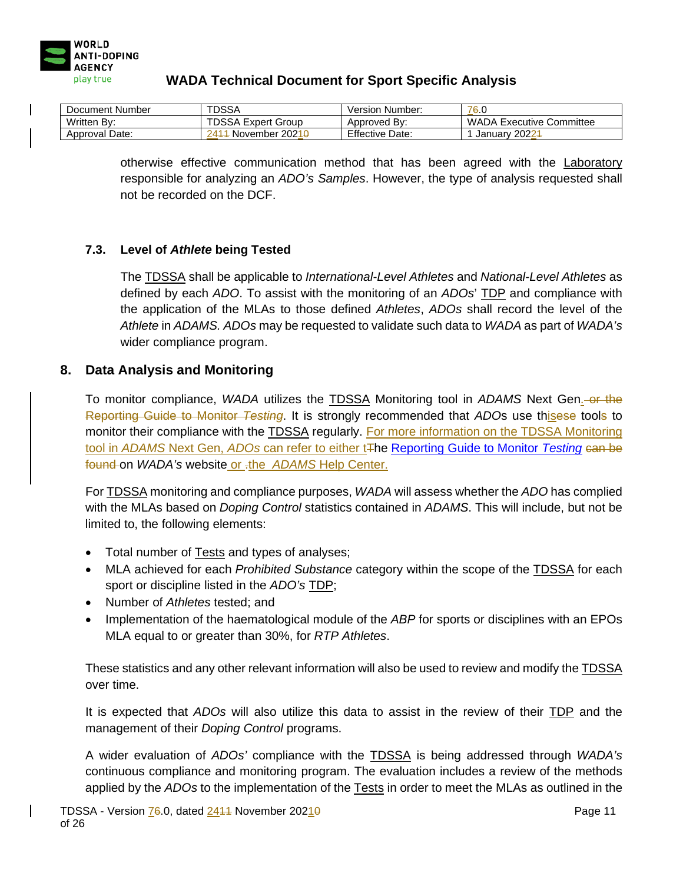

| Document Number | <b>TDSSA</b>                        | Version Number:        | 76.U                     |
|-----------------|-------------------------------------|------------------------|--------------------------|
| Written By:     | <b>TDSSA Expert Group</b>           | Approved By:           | WADA Executive Committee |
| Approval Date:  | November 2021 <del>0</del> .<br>941 | <b>Effective Date:</b> | January 20224            |

otherwise effective communication method that has been agreed with the Laboratory responsible for analyzing an *ADO's Samples*. However, the type of analysis requested shall not be recorded on the DCF.

### **7.3. Level of** *Athlete* **being Tested**

The TDSSA shall be applicable to *International-Level Athletes* and *National-Level Athletes* as defined by each *ADO*. To assist with the monitoring of an *ADOs*' TDP and compliance with the application of the MLAs to those defined *Athletes*, *ADOs* shall record the level of the *Athlete* in *ADAMS. ADOs* may be requested to validate such data to *WADA* as part of *WADA's*  wider compliance program.

### **8. Data Analysis and Monitoring**

To monitor compliance, *WADA* utilizes the TDSSA Monitoring tool in *ADAMS* Next Gen. or the Reporting Guide to Monitor *Testing*. It is strongly recommended that *ADO*s use thisese tools to monitor their compliance with the TDSSA regularly. For more information on the TDSSA Monitoring tool in *ADAMS* Next Gen, *ADOs* can refer to either t<sub>The [Reporting Guide to Monitor](https://www.wada-ama.org/en/resources/code-compliance/reporting-guide-to-monitor-testing) Testing can be</sub> found on *WADA's* website or -the *ADAMS* [Help Center.](https://adams-help.wada-ama.org/hc/en-us)

For TDSSA monitoring and compliance purposes, *WADA* will assess whether the *ADO* has complied with the MLAs based on *Doping Control* statistics contained in *ADAMS*. This will include, but not be limited to, the following elements:

- Total number of Tests and types of analyses;
- MLA achieved for each *Prohibited Substance* category within the scope of the TDSSA for each sport or discipline listed in the *ADO's* TDP;
- Number of *Athletes* tested; and
- Implementation of the haematological module of the *ABP* for sports or disciplines with an EPOs MLA equal to or greater than 30%, for *RTP Athletes*.

These statistics and any other relevant information will also be used to review and modify the TDSSA over time.

It is expected that *ADOs* will also utilize this data to assist in the review of their TDP and the management of their *Doping Control* programs.

A wider evaluation of *ADOs'* compliance with the TDSSA is being addressed through *WADA's* continuous compliance and monitoring program. The evaluation includes a review of the methods applied by the *ADOs* to the implementation of the Tests in order to meet the MLAs as outlined in the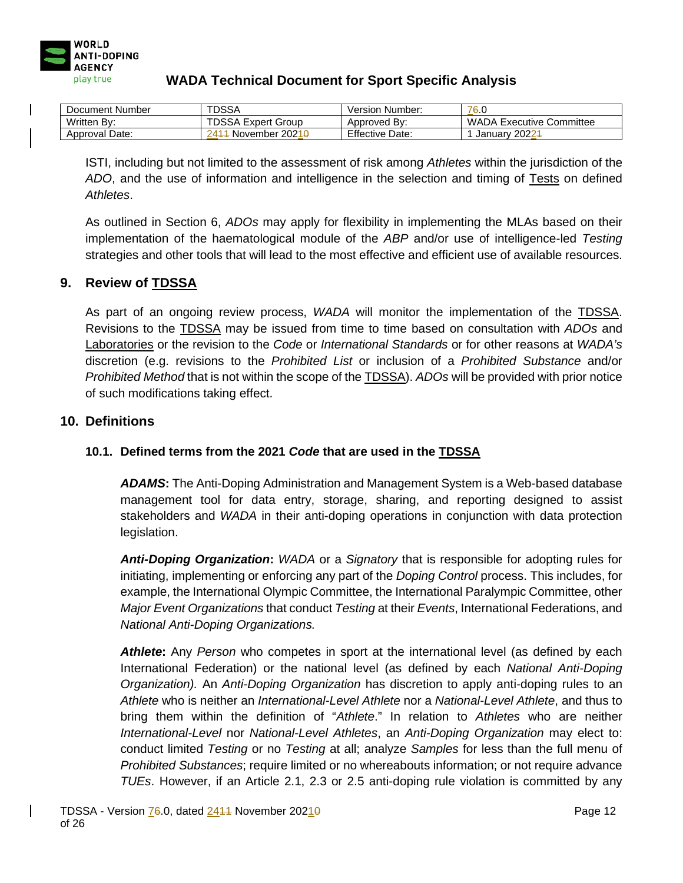

| Document Number | <b>TDSSA</b>                      | Version Number:        | 76.0                            |
|-----------------|-----------------------------------|------------------------|---------------------------------|
| Written By:     | <b>TDSSA Expert Group</b>         | Approved By:           | <b>WADA Executive Committee</b> |
| Approval Date:  | November 2021 <del>0</del><br>241 | <b>Effective Date:</b> | January 20224                   |

ISTI, including but not limited to the assessment of risk among *Athletes* within the jurisdiction of the *ADO*, and the use of information and intelligence in the selection and timing of Tests on defined *Athletes*.

As outlined in Section 6, *ADOs* may apply for flexibility in implementing the MLAs based on their implementation of the haematological module of the *ABP* and/or use of intelligence-led *Testing* strategies and other tools that will lead to the most effective and efficient use of available resources.

## **9. Review of TDSSA**

As part of an ongoing review process, *WADA* will monitor the implementation of the TDSSA. Revisions to the TDSSA may be issued from time to time based on consultation with *ADOs* and Laboratories or the revision to the *Code* or *International Standards* or for other reasons at *WADA's* discretion (e.g. revisions to the *Prohibited List* or inclusion of a *Prohibited Substance* and/or *Prohibited Method* that is not within the scope of the TDSSA). *ADOs* will be provided with prior notice of such modifications taking effect.

### **10. Definitions**

## **10.1. Defined terms from the 2021** *Code* **that are used in the TDSSA**

*ADAMS***:** The Anti-Doping Administration and Management System is a Web-based database management tool for data entry, storage, sharing, and reporting designed to assist stakeholders and *WADA* in their anti-doping operations in conjunction with data protection legislation.

*Anti-Doping Organization***:** *WADA* or a *Signatory* that is responsible for adopting rules for initiating, implementing or enforcing any part of the *Doping Control* process. This includes, for example, the International Olympic Committee, the International Paralympic Committee, other *Major Event Organizations* that conduct *Testing* at their *Events*, International Federations, and *National Anti-Doping Organizations.*

*Athlete***:** Any *Person* who competes in sport at the international level (as defined by each International Federation) or the national level (as defined by each *National Anti-Doping Organization).* An *Anti-Doping Organization* has discretion to apply anti-doping rules to an *Athlete* who is neither an *International-Level Athlete* nor a *National-Level Athlete*, and thus to bring them within the definition of "*Athlete*." In relation to *Athletes* who are neither *International-Level* nor *National-Level Athletes*, an *Anti-Doping Organization* may elect to: conduct limited *Testing* or no *Testing* at all; analyze *Samples* for less than the full menu of *Prohibited Substances*; require limited or no whereabouts information; or not require advance *TUEs*. However, if an Article 2.1, 2.3 or 2.5 anti-doping rule violation is committed by any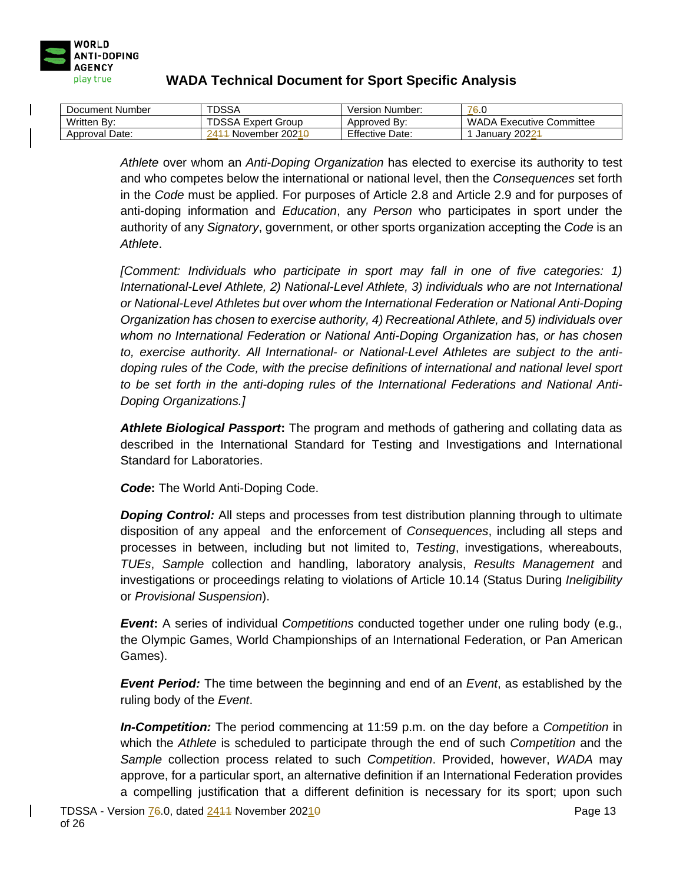

| Document Number | <b>TDSSA</b>                       | Version Number:        | 76.0                            |
|-----------------|------------------------------------|------------------------|---------------------------------|
| Written By:     | <b>TDSSA Expert Group</b>          | Approved By:           | <b>WADA Executive Committee</b> |
| Approval Date:  | November 2021 <del>0</del><br>2411 | <b>Effective Date:</b> | January 20224                   |

*Athlete* over whom an *Anti-Doping Organization* has elected to exercise its authority to test and who competes below the international or national level, then the *Consequences* set forth in the *Code* must be applied. For purposes of Article 2.8 and Article 2.9 and for purposes of anti-doping information and *Education*, any *Person* who participates in sport under the authority of any *Signatory*, government, or other sports organization accepting the *Code* is an *Athlete*.

*[Comment: Individuals who participate in sport may fall in one of five categories: 1) International-Level Athlete, 2) National-Level Athlete, 3) individuals who are not International or National-Level Athletes but over whom the International Federation or National Anti-Doping Organization has chosen to exercise authority, 4) Recreational Athlete, and 5) individuals over whom no International Federation or National Anti-Doping Organization has, or has chosen to, exercise authority. All International- or National-Level Athletes are subject to the antidoping rules of the Code, with the precise definitions of international and national level sport to be set forth in the anti-doping rules of the International Federations and National Anti-Doping Organizations.]*

*Athlete Biological Passport***:** The program and methods of gathering and collating data as described in the International Standard for Testing and Investigations and International Standard for Laboratories.

*Code***:** The World Anti-Doping Code.

**Doping Control:** All steps and processes from test distribution planning through to ultimate disposition of any appeal and the enforcement of *Consequences*, including all steps and processes in between, including but not limited to, *Testing*, investigations, whereabouts, *TUEs*, *Sample* collection and handling, laboratory analysis, *Results Management* and investigations or proceedings relating to violations of Article 10.14 (Status During *Ineligibility* or *Provisional Suspension*).

*Event***:** A series of individual *Competitions* conducted together under one ruling body (e.g., the Olympic Games, World Championships of an International Federation, or Pan American Games).

*Event Period:* The time between the beginning and end of an *Event*, as established by the ruling body of the *Event*.

*In-Competition:* The period commencing at 11:59 p.m. on the day before a *Competition* in which the *Athlete* is scheduled to participate through the end of such *Competition* and the *Sample* collection process related to such *Competition*. Provided, however, *WADA* may approve, for a particular sport, an alternative definition if an International Federation provides a compelling justification that a different definition is necessary for its sport; upon such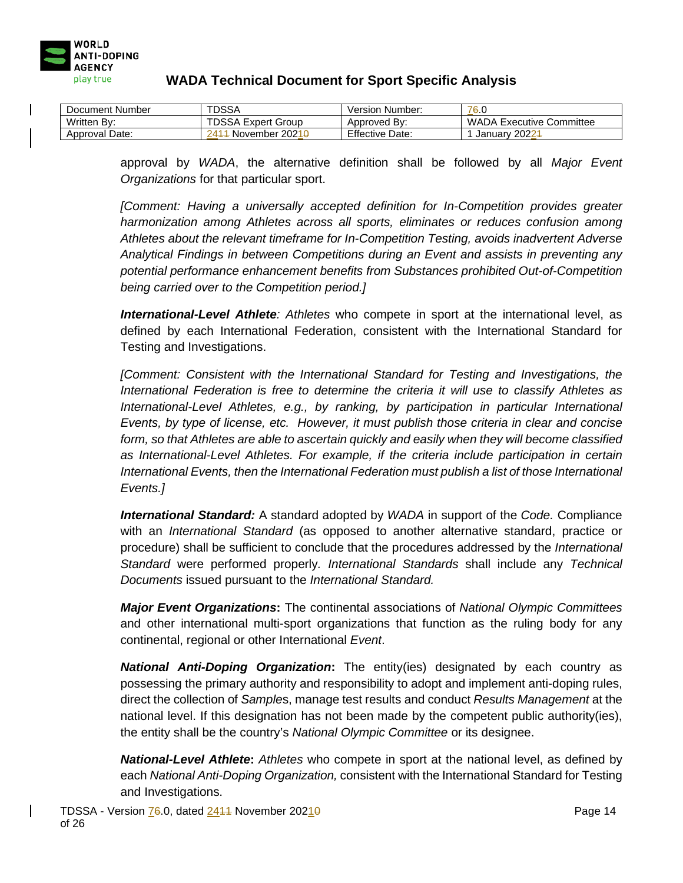

| Document Number | <b>TDSSA</b>                       | Version Number:        | 76.0                            |
|-----------------|------------------------------------|------------------------|---------------------------------|
| Written By:     | <b>TDSSA Expert Group</b>          | Approved By:           | <b>WADA Executive Committee</b> |
| Approval Date:  | November 2021 <del>0</del><br>2411 | <b>Effective Date:</b> | January 20224                   |

approval by *WADA*, the alternative definition shall be followed by all *Major Event Organizations* for that particular sport.

*[Comment: Having a universally accepted definition for In-Competition provides greater harmonization among Athletes across all sports, eliminates or reduces confusion among Athletes about the relevant timeframe for In-Competition Testing, avoids inadvertent Adverse Analytical Findings in between Competitions during an Event and assists in preventing any potential performance enhancement benefits from Substances prohibited Out-of-Competition being carried over to the Competition period.]*

*International-Level Athlete: Athletes* who compete in sport at the international level, as defined by each International Federation, consistent with the International Standard for Testing and Investigations.

*[Comment: Consistent with the International Standard for Testing and Investigations, the International Federation is free to determine the criteria it will use to classify Athletes as International-Level Athletes, e.g., by ranking, by participation in particular International Events, by type of license, etc. However, it must publish those criteria in clear and concise form, so that Athletes are able to ascertain quickly and easily when they will become classified as International-Level Athletes. For example, if the criteria include participation in certain International Events, then the International Federation must publish a list of those International Events.]*

*International Standard:* A standard adopted by *WADA* in support of the *Code.* Compliance with an *International Standard* (as opposed to another alternative standard, practice or procedure) shall be sufficient to conclude that the procedures addressed by the *International Standard* were performed properly*. International Standards* shall include any *Technical Documents* issued pursuant to the *International Standard.* 

*Major Event Organizations***:** The continental associations of *National Olympic Committees*  and other international multi-sport organizations that function as the ruling body for any continental, regional or other International *Event*.

*National Anti-Doping Organization***:** The entity(ies) designated by each country as possessing the primary authority and responsibility to adopt and implement anti-doping rules, direct the collection of *Sample*s, manage test results and conduct *Results Management* at the national level. If this designation has not been made by the competent public authority(ies), the entity shall be the country's *National Olympic Committee* or its designee.

*National-Level Athlete***:** *Athletes* who compete in sport at the national level, as defined by each *National Anti-Doping Organization,* consistent with the International Standard for Testing and Investigations.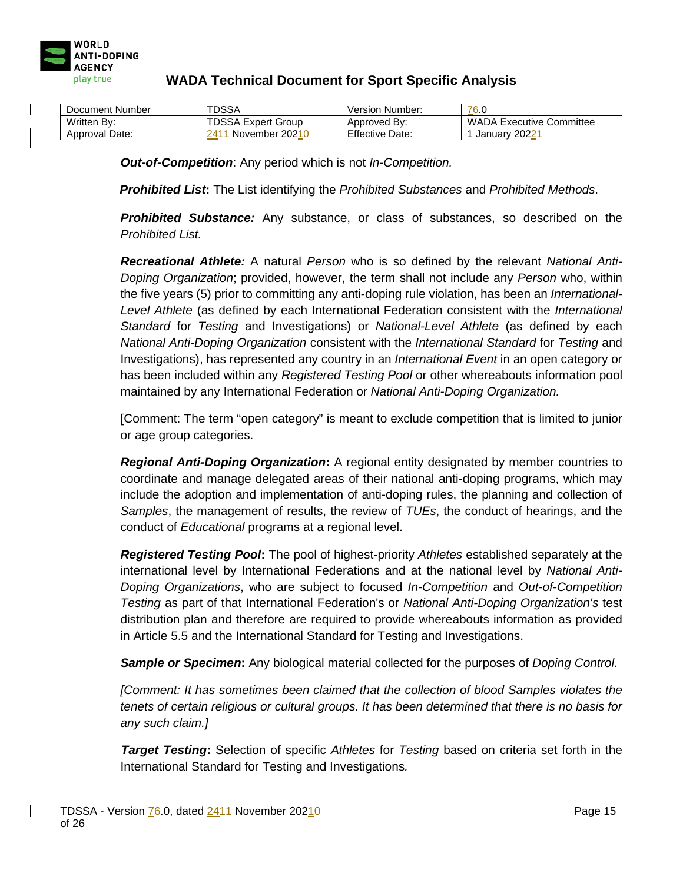

| Document Number | <b>TDSSA</b>                        | Version Number:        | 76.0                            |
|-----------------|-------------------------------------|------------------------|---------------------------------|
| Written By:     | <b>TDSSA Expert Group</b>           | Approved By:           | <b>WADA Executive Committee</b> |
| Approval Date:  | - November 2021 <del>0</del><br>241 | <b>Effective Date:</b> | January 20224                   |

*Out-of-Competition*: Any period which is not *In-Competition.*

*Prohibited List***:** The List identifying the *Prohibited Substances* and *Prohibited Methods*.

*Prohibited Substance:* Any substance, or class of substances, so described on the *Prohibited List.*

*Recreational Athlete:* A natural *Person* who is so defined by the relevant *National Anti-Doping Organization*; provided, however, the term shall not include any *Person* who, within the five years (5) prior to committing any anti-doping rule violation, has been an *International-Level Athlete* (as defined by each International Federation consistent with the *International Standard* for *Testing* and Investigations) or *National-Level Athlete* (as defined by each *National Anti-Doping Organization* consistent with the *International Standard* for *Testing* and Investigations), has represented any country in an *International Event* in an open category or has been included within any *Registered Testing Pool* or other whereabouts information pool maintained by any International Federation or *National Anti-Doping Organization.*

[Comment: The term "open category" is meant to exclude competition that is limited to junior or age group categories.

*Regional Anti-Doping Organization***:** A regional entity designated by member countries to coordinate and manage delegated areas of their national anti-doping programs, which may include the adoption and implementation of anti-doping rules, the planning and collection of *Samples*, the management of results, the review of *TUEs*, the conduct of hearings, and the conduct of *Educational* programs at a regional level.

*Registered Testing Pool***:** The pool of highest-priority *Athletes* established separately at the international level by International Federations and at the national level by *National Anti-Doping Organizations*, who are subject to focused *In-Competition* and *Out-of-Competition Testing* as part of that International Federation's or *National Anti-Doping Organization's* test distribution plan and therefore are required to provide whereabouts information as provided in Article 5.5 and the International Standard for Testing and Investigations.

*Sample or Specimen***:** Any biological material collected for the purposes of *Doping Control*.

*[Comment: It has sometimes been claimed that the collection of blood Samples violates the tenets of certain religious or cultural groups. It has been determined that there is no basis for any such claim.]*

*Target Testing***:** Selection of specific *Athletes* for *Testing* based on criteria set forth in the International Standard for Testing and Investigations*.*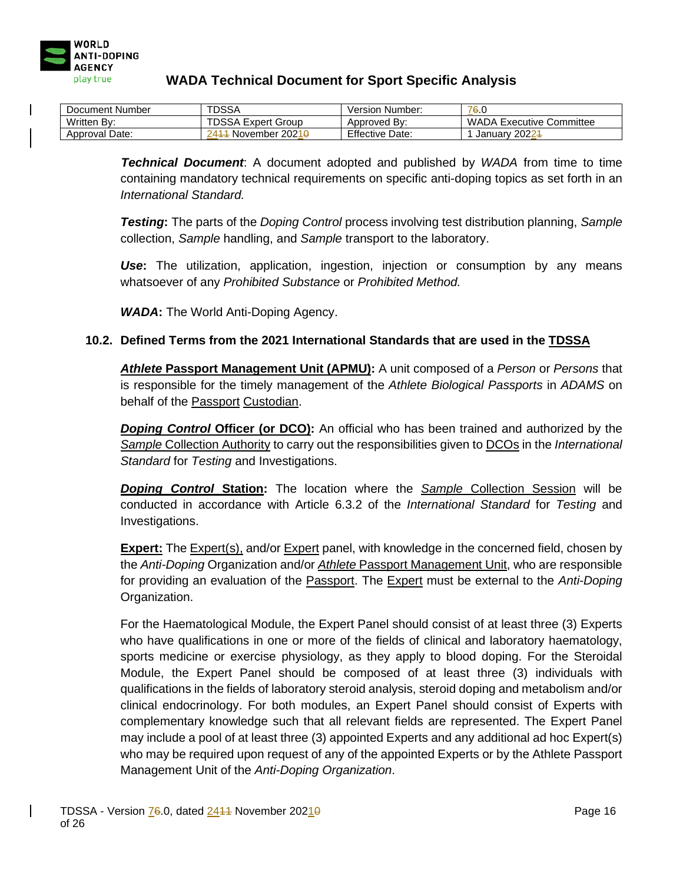

| Document Number | <b>TDSSA</b>                      | Version Number:        | 76.0                            |
|-----------------|-----------------------------------|------------------------|---------------------------------|
| Written By:     | <b>TDSSA Expert Group</b>         | Approved By:           | <b>WADA Executive Committee</b> |
| Approval Date:  | November 2021 <del>0</del><br>241 | <b>Effective Date:</b> | January 20224                   |

*Technical Document*: A document adopted and published by *WADA* from time to time containing mandatory technical requirements on specific anti-doping topics as set forth in an *International Standard.*

*Testing***:** The parts of the *Doping Control* process involving test distribution planning, *Sample*  collection, *Sample* handling, and *Sample* transport to the laboratory.

*Use***:** The utilization, application, ingestion, injection or consumption by any means whatsoever of any *Prohibited Substance* or *Prohibited Method.*

*WADA***:** The World Anti-Doping Agency.

### **10.2. Defined Terms from the 2021 International Standards that are used in the TDSSA**

*Athlete* **Passport Management Unit (APMU):** A unit composed of a *Person* or *Persons* that is responsible for the timely management of the *Athlete Biological Passports* in *ADAMS* on behalf of the Passport Custodian.

**Doping Control Officer (or DCO):** An official who has been trained and authorized by the *Sample* Collection Authority to carry out the responsibilities given to DCOs in the *International Standard* for *Testing* and Investigations.

*Doping Control* **Station:** The location where the *Sample* Collection Session will be conducted in accordance with Article 6.3.2 of the *International Standard* for *Testing* and Investigations.

**Expert:** The Expert(s), and/or Expert panel, with knowledge in the concerned field, chosen by the *Anti-Doping* Organization and/or *Athlete* Passport Management Unit, who are responsible for providing an evaluation of the Passport. The Expert must be external to the *Anti-Doping* Organization.

For the Haematological Module, the Expert Panel should consist of at least three (3) Experts who have qualifications in one or more of the fields of clinical and laboratory haematology, sports medicine or exercise physiology, as they apply to blood doping. For the Steroidal Module, the Expert Panel should be composed of at least three (3) individuals with qualifications in the fields of laboratory steroid analysis, steroid doping and metabolism and/or clinical endocrinology. For both modules, an Expert Panel should consist of Experts with complementary knowledge such that all relevant fields are represented. The Expert Panel may include a pool of at least three (3) appointed Experts and any additional ad hoc Expert(s) who may be required upon request of any of the appointed Experts or by the Athlete Passport Management Unit of the *Anti-Doping Organization*.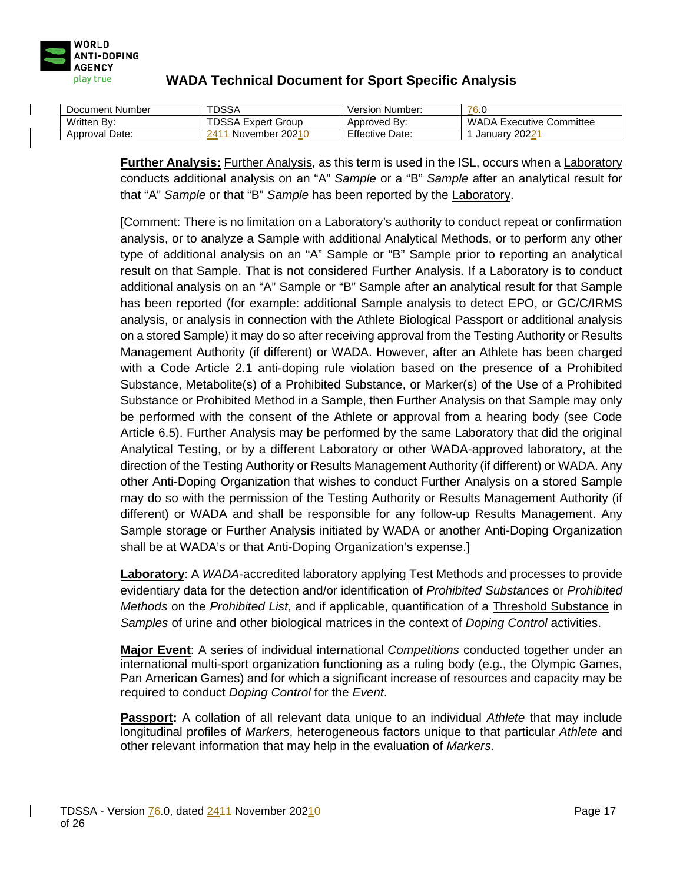

| Document Number | TDSSA                              | Version Number:        | 76.0                            |
|-----------------|------------------------------------|------------------------|---------------------------------|
| Written By:     | <b>TDSSA Expert Group</b>          | Approved By:           | <b>WADA Executive Committee</b> |
| Approval Date:  | November 2021 <del>0</del><br>2411 | <b>Effective Date:</b> | January 20224                   |

**Further Analysis:** Further Analysis, as this term is used in the ISL, occurs when a Laboratory conducts additional analysis on an "A" *Sample* or a "B" *Sample* after an analytical result for that "A" *Sample* or that "B" *Sample* has been reported by the Laboratory.

[Comment: There is no limitation on a Laboratory's authority to conduct repeat or confirmation analysis, or to analyze a Sample with additional Analytical Methods, or to perform any other type of additional analysis on an "A" Sample or "B" Sample prior to reporting an analytical result on that Sample. That is not considered Further Analysis. If a Laboratory is to conduct additional analysis on an "A" Sample or "B" Sample after an analytical result for that Sample has been reported (for example: additional Sample analysis to detect EPO, or GC/C/IRMS analysis, or analysis in connection with the Athlete Biological Passport or additional analysis on a stored Sample) it may do so after receiving approval from the Testing Authority or Results Management Authority (if different) or WADA. However, after an Athlete has been charged with a Code Article 2.1 anti-doping rule violation based on the presence of a Prohibited Substance, Metabolite(s) of a Prohibited Substance, or Marker(s) of the Use of a Prohibited Substance or Prohibited Method in a Sample, then Further Analysis on that Sample may only be performed with the consent of the Athlete or approval from a hearing body (see Code Article 6.5). Further Analysis may be performed by the same Laboratory that did the original Analytical Testing, or by a different Laboratory or other WADA-approved laboratory, at the direction of the Testing Authority or Results Management Authority (if different) or WADA. Any other Anti-Doping Organization that wishes to conduct Further Analysis on a stored Sample may do so with the permission of the Testing Authority or Results Management Authority (if different) or WADA and shall be responsible for any follow-up Results Management. Any Sample storage or Further Analysis initiated by WADA or another Anti-Doping Organization shall be at WADA's or that Anti-Doping Organization's expense.]

**Laboratory**: A *WADA*-accredited laboratory applying Test Methods and processes to provide evidentiary data for the detection and/or identification of *Prohibited Substances* or *Prohibited Methods* on the *Prohibited List*, and if applicable, quantification of a Threshold Substance in *Samples* of urine and other biological matrices in the context of *Doping Control* activities.

**Major Event**: A series of individual international *Competitions* conducted together under an international multi-sport organization functioning as a ruling body (e.g., the Olympic Games, Pan American Games) and for which a significant increase of resources and capacity may be required to conduct *Doping Control* for the *Event*.

**Passport:** A collation of all relevant data unique to an individual *Athlete* that may include longitudinal profiles of *Markers*, heterogeneous factors unique to that particular *Athlete* and other relevant information that may help in the evaluation of *Markers*.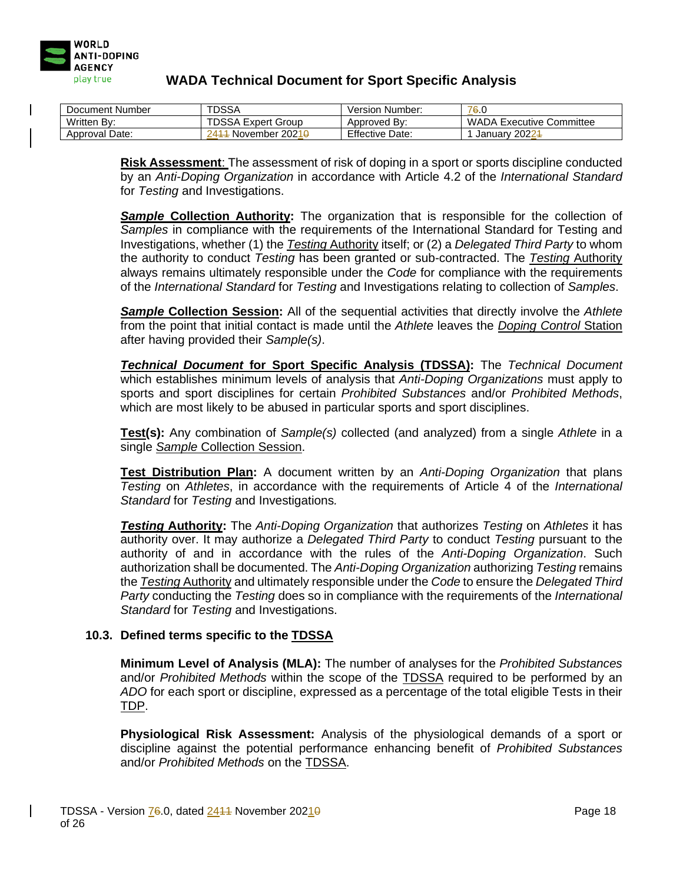

| Document Number | TDSSA                              | Version Number:        | 76.0                            |
|-----------------|------------------------------------|------------------------|---------------------------------|
| Written By:     | <b>TDSSA Expert Group</b>          | Approved By:           | <b>WADA Executive Committee</b> |
| Approval Date:  | November 2021 <del>0</del><br>2411 | <b>Effective Date:</b> | January 20224                   |

**Risk Assessment**: The assessment of risk of doping in a sport or sports discipline conducted by an *Anti-Doping Organization* in accordance with Article 4.2 of the *International Standard* for *Testing* and Investigations.

*Sample* **Collection Authority:** The organization that is responsible for the collection of *Samples* in compliance with the requirements of the International Standard for Testing and Investigations, whether (1) the *Testing* Authority itself; or (2) a *Delegated Third Party* to whom the authority to conduct *Testing* has been granted or sub-contracted. The *Testing* Authority always remains ultimately responsible under the *Code* for compliance with the requirements of the *International Standard* for *Testing* and Investigations relating to collection of *Samples*.

*Sample* **Collection Session:** All of the sequential activities that directly involve the *Athlete*  from the point that initial contact is made until the *Athlete* leaves the *Doping Control* Station after having provided their *Sample(s)*.

*Technical Document* **for Sport Specific Analysis (TDSSA):** The *Technical Document* which establishes minimum levels of analysis that *Anti-Doping Organizations* must apply to sports and sport disciplines for certain *Prohibited Substances* and/or *Prohibited Methods*, which are most likely to be abused in particular sports and sport disciplines.

**Test(s):** Any combination of *Sample(s)* collected (and analyzed) from a single *Athlete* in a single *Sample* Collection Session.

**Test Distribution Plan:** A document written by an *Anti-Doping Organization* that plans *Testing* on *Athletes*, in accordance with the requirements of Article 4 of the *International Standard* for *Testing* and Investigations*.*

*Testing* **Authority:** The *Anti-Doping Organization* that authorizes *Testing* on *Athletes* it has authority over. It may authorize a *Delegated Third Party* to conduct *Testing* pursuant to the authority of and in accordance with the rules of the *Anti-Doping Organization*. Such authorization shall be documented. The *Anti-Doping Organization* authorizing *Testing* remains the *Testing* Authority and ultimately responsible under the *Code* to ensure the *Delegated Third Party* conducting the *Testing* does so in compliance with the requirements of the *International Standard* for *Testing* and Investigations.

#### **10.3. Defined terms specific to the TDSSA**

**Minimum Level of Analysis (MLA):** The number of analyses for the *Prohibited Substances* and/or *Prohibited Methods* within the scope of the TDSSA required to be performed by an *ADO* for each sport or discipline, expressed as a percentage of the total eligible Tests in their TDP.

**Physiological Risk Assessment:** Analysis of the physiological demands of a sport or discipline against the potential performance enhancing benefit of *Prohibited Substances* and/or *Prohibited Methods* on the TDSSA.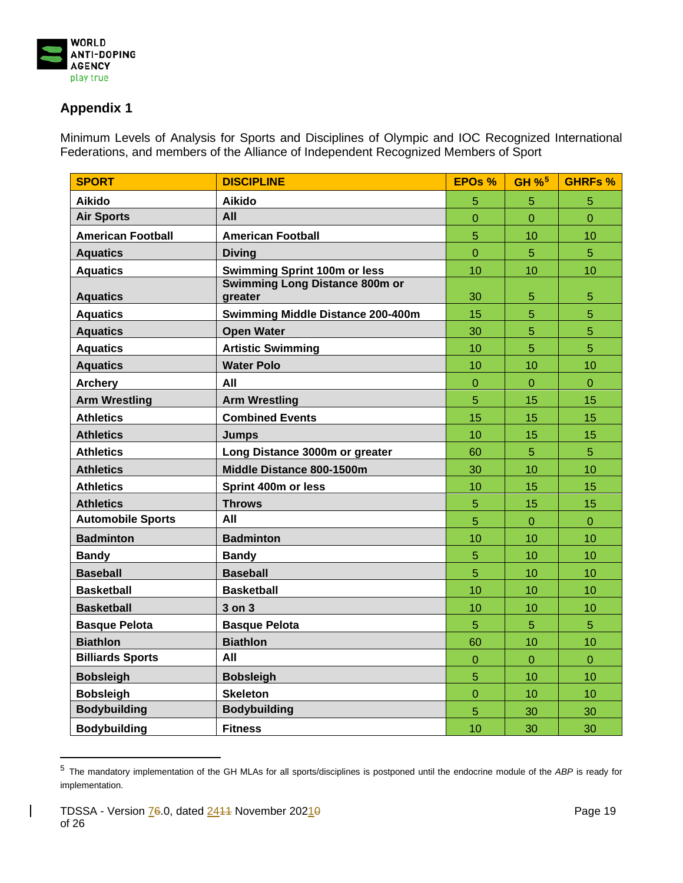

## **Appendix 1**

Minimum Levels of Analysis for Sports and Disciplines of Olympic and IOC Recognized International Federations, and members of the Alliance of Independent Recognized Members of Sport

| <b>SPORT</b>             | <b>DISCIPLINE</b>                                | <b>EPOs %</b>  | GH % <sup>5</sup> | <b>GHRFs %</b> |
|--------------------------|--------------------------------------------------|----------------|-------------------|----------------|
| Aikido                   | <b>Aikido</b>                                    | 5              | 5                 | 5              |
| <b>Air Sports</b>        | All                                              | 0              | 0                 | $\mathbf 0$    |
| <b>American Football</b> | <b>American Football</b>                         | 5              | 10                | 10             |
| <b>Aquatics</b>          | <b>Diving</b>                                    | $\overline{0}$ | 5                 | $\overline{5}$ |
| <b>Aquatics</b>          | <b>Swimming Sprint 100m or less</b>              | 10             | 10                | 10             |
| <b>Aquatics</b>          | <b>Swimming Long Distance 800m or</b><br>greater | 30             | 5                 | 5              |
| <b>Aquatics</b>          | <b>Swimming Middle Distance 200-400m</b>         | 15             | 5                 | 5              |
| <b>Aquatics</b>          | <b>Open Water</b>                                | 30             | 5                 | $\overline{5}$ |
| <b>Aquatics</b>          | <b>Artistic Swimming</b>                         | 10             | 5                 | $\overline{5}$ |
| <b>Aquatics</b>          | <b>Water Polo</b>                                | 10             | 10                | 10             |
| <b>Archery</b>           | All                                              | $\overline{0}$ | $\overline{0}$    | $\overline{0}$ |
| <b>Arm Wrestling</b>     | <b>Arm Wrestling</b>                             | 5              | 15                | 15             |
| <b>Athletics</b>         | <b>Combined Events</b>                           | 15             | 15                | 15             |
| <b>Athletics</b>         | <b>Jumps</b>                                     | 10             | 15                | 15             |
| <b>Athletics</b>         | Long Distance 3000m or greater                   | 60             | 5                 | $\overline{5}$ |
| <b>Athletics</b>         | Middle Distance 800-1500m                        | 30             | 10                | 10             |
| <b>Athletics</b>         | Sprint 400m or less                              | 10             | 15                | 15             |
| <b>Athletics</b>         | <b>Throws</b>                                    | 5              | 15                | 15             |
| <b>Automobile Sports</b> | All                                              | 5              | $\mathbf 0$       | $\mathbf 0$    |
| <b>Badminton</b>         | <b>Badminton</b>                                 | 10             | 10                | 10             |
| <b>Bandy</b>             | <b>Bandy</b>                                     | 5              | 10                | 10             |
| <b>Baseball</b>          | <b>Baseball</b>                                  | 5              | 10                | 10             |
| <b>Basketball</b>        | <b>Basketball</b>                                | 10             | 10                | 10             |
| <b>Basketball</b>        | 3 on 3                                           | 10             | 10                | 10             |
| <b>Basque Pelota</b>     | <b>Basque Pelota</b>                             | 5              | 5                 | 5              |
| <b>Biathlon</b>          | <b>Biathlon</b>                                  | 60             | 10                | 10             |
| <b>Billiards Sports</b>  | All                                              | $\overline{0}$ | $\overline{0}$    | $\overline{0}$ |
| <b>Bobsleigh</b>         | <b>Bobsleigh</b>                                 | 5              | 10                | 10             |
| <b>Bobsleigh</b>         | <b>Skeleton</b>                                  | $\overline{0}$ | 10                | 10             |
| <b>Bodybuilding</b>      | <b>Bodybuilding</b>                              | 5              | 30                | 30             |
| <b>Bodybuilding</b>      | <b>Fitness</b>                                   | 10             | 30                | 30             |

<sup>5</sup> The mandatory implementation of the GH MLAs for all sports/disciplines is postponed until the endocrine module of the *ABP* is ready for implementation.

<span id="page-18-0"></span> $\mathsf{l}$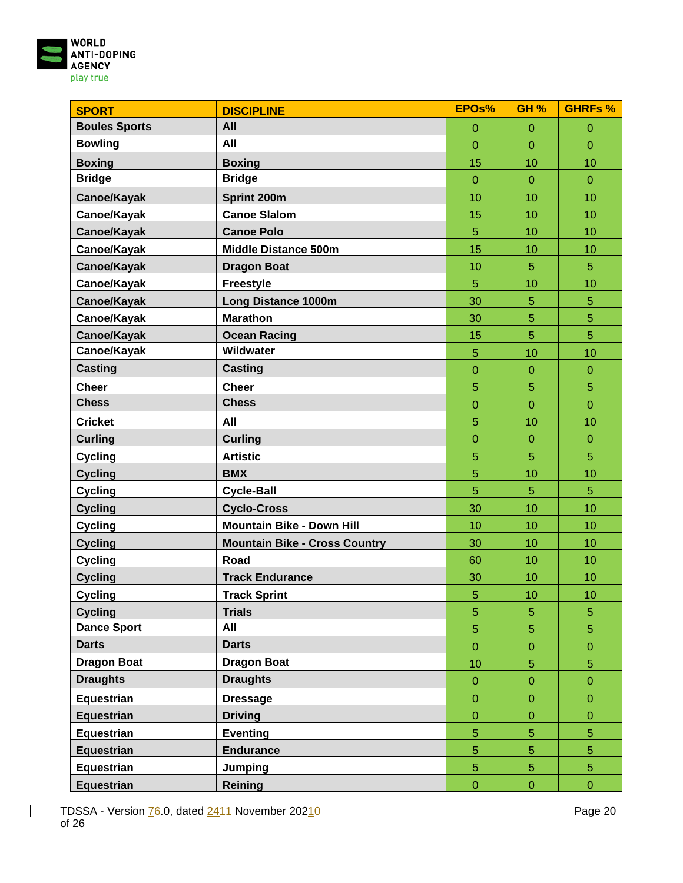

| <b>SPORT</b>         | <b>DISCIPLINE</b>                    | EPOs%            | <b>GH %</b>      | <b>GHRFs %</b>   |
|----------------------|--------------------------------------|------------------|------------------|------------------|
| <b>Boules Sports</b> | All                                  | $\mathbf{0}$     | $\mathbf 0$      | $\pmb{0}$        |
| <b>Bowling</b>       | All                                  | $\overline{0}$   | $\overline{0}$   | $\overline{0}$   |
| <b>Boxing</b>        | <b>Boxing</b>                        | 15               | 10               | 10               |
| <b>Bridge</b>        | <b>Bridge</b>                        | $\mathbf{0}$     | $\overline{0}$   | $\overline{0}$   |
| Canoe/Kayak          | Sprint 200m                          | 10               | 10               | 10               |
| Canoe/Kayak          | <b>Canoe Slalom</b>                  | 15               | 10               | 10               |
| Canoe/Kayak          | <b>Canoe Polo</b>                    | 5                | 10               | 10               |
| Canoe/Kayak          | <b>Middle Distance 500m</b>          | 15               | 10               | 10               |
| Canoe/Kayak          | <b>Dragon Boat</b>                   | 10               | 5                | 5                |
| Canoe/Kayak          | <b>Freestyle</b>                     | 5                | 10               | 10               |
| Canoe/Kayak          | <b>Long Distance 1000m</b>           | 30               | 5                | 5                |
| Canoe/Kayak          | <b>Marathon</b>                      | 30               | 5                | 5                |
| Canoe/Kayak          | <b>Ocean Racing</b>                  | 15               | 5                | 5                |
| Canoe/Kayak          | Wildwater                            | 5                | 10               | 10               |
| <b>Casting</b>       | <b>Casting</b>                       | $\overline{0}$   | $\overline{0}$   | $\mathbf 0$      |
| <b>Cheer</b>         | <b>Cheer</b>                         | 5                | 5                | 5                |
| <b>Chess</b>         | <b>Chess</b>                         | $\overline{0}$   | $\overline{0}$   | $\overline{0}$   |
| <b>Cricket</b>       | All                                  | 5                | 10               | 10               |
| <b>Curling</b>       | <b>Curling</b>                       | $\boldsymbol{0}$ | $\overline{0}$   | $\mathbf 0$      |
| <b>Cycling</b>       | <b>Artistic</b>                      | 5                | 5                | 5                |
| <b>Cycling</b>       | <b>BMX</b>                           | 5                | 10               | 10               |
| <b>Cycling</b>       | <b>Cycle-Ball</b>                    | 5                | 5                | 5                |
| <b>Cycling</b>       | <b>Cyclo-Cross</b>                   | 30               | 10               | 10               |
| <b>Cycling</b>       | <b>Mountain Bike - Down Hill</b>     | 10               | 10               | 10               |
| <b>Cycling</b>       | <b>Mountain Bike - Cross Country</b> | 30               | 10               | 10               |
| <b>Cycling</b>       | Road                                 | 60               | 10               | 10               |
| <b>Cycling</b>       | <b>Track Endurance</b>               | 30               | 10               | 10               |
| <b>Cycling</b>       | <b>Track Sprint</b>                  | 5                | 10               | 10               |
| <b>Cycling</b>       | <b>Trials</b>                        | $\overline{5}$   | 5                | 5                |
| <b>Dance Sport</b>   | All                                  | $\overline{5}$   | 5                | $\overline{5}$   |
| <b>Darts</b>         | <b>Darts</b>                         | $\mathbf{0}$     | $\mathbf 0$      | $\boldsymbol{0}$ |
| <b>Dragon Boat</b>   | <b>Dragon Boat</b>                   | 10               | 5                | 5                |
| <b>Draughts</b>      | <b>Draughts</b>                      | $\pmb{0}$        | $\mathbf 0$      | $\boldsymbol{0}$ |
| Equestrian           | <b>Dressage</b>                      | $\overline{0}$   | $\mathbf 0$      | $\mathbf 0$      |
| <b>Equestrian</b>    | <b>Driving</b>                       | $\boldsymbol{0}$ | $\boldsymbol{0}$ | $\pmb{0}$        |
| <b>Equestrian</b>    | Eventing                             | $\overline{5}$   | 5                | 5                |
| <b>Equestrian</b>    | <b>Endurance</b>                     | $\overline{5}$   | 5                | $\overline{5}$   |
| Equestrian           | <b>Jumping</b>                       | $\overline{5}$   | 5                | $\overline{5}$   |
| <b>Equestrian</b>    | Reining                              | $\pmb{0}$        | $\mathbf 0$      | $\boldsymbol{0}$ |

 $\begin{array}{c} \hline \end{array}$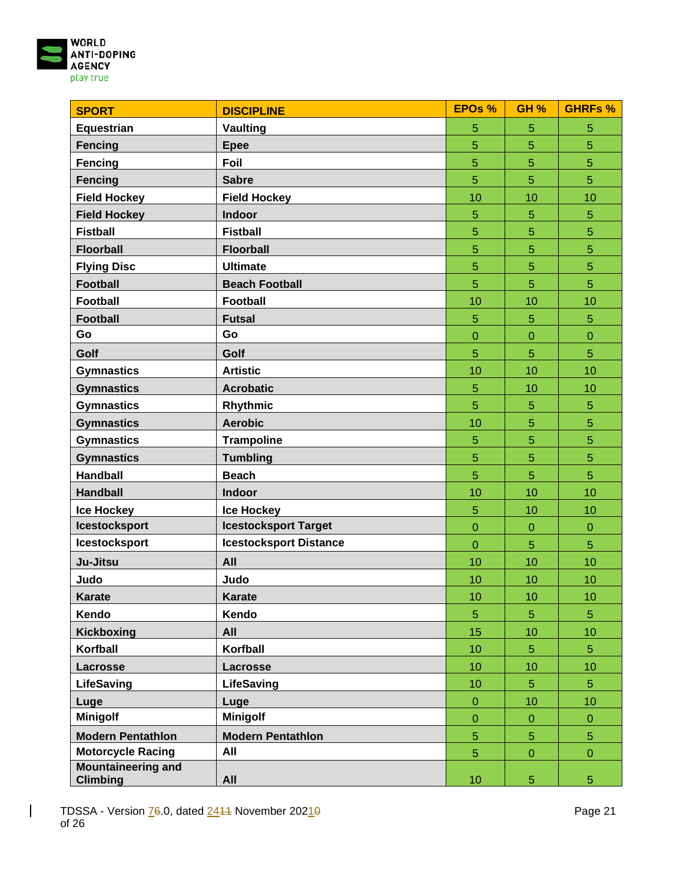

| <b>SPORT</b>                                 | <b>DISCIPLINE</b>             | <b>EPOs %</b>  | <b>GH %</b>    | <b>GHRFs %</b> |
|----------------------------------------------|-------------------------------|----------------|----------------|----------------|
| <b>Equestrian</b>                            | <b>Vaulting</b>               | 5              | 5              | 5              |
| <b>Fencing</b>                               | <b>Epee</b>                   | 5              | 5              | 5              |
| Fencing                                      | Foil                          | $\overline{5}$ | 5              | 5              |
| <b>Fencing</b>                               | <b>Sabre</b>                  | $\overline{5}$ | 5              | $\overline{5}$ |
| <b>Field Hockey</b>                          | <b>Field Hockey</b>           | 10             | 10             | 10             |
| <b>Field Hockey</b>                          | Indoor                        | 5              | 5              | 5              |
| <b>Fistball</b>                              | <b>Fistball</b>               | 5              | 5              | 5              |
| <b>Floorball</b>                             | <b>Floorball</b>              | 5              | 5              | 5              |
| <b>Flying Disc</b>                           | <b>Ultimate</b>               | 5              | 5              | 5              |
| <b>Football</b>                              | <b>Beach Football</b>         | 5              | 5              | 5              |
| <b>Football</b>                              | <b>Football</b>               | 10             | 10             | 10             |
| <b>Football</b>                              | <b>Futsal</b>                 | 5              | 5              | 5              |
| Go                                           | Go                            | $\overline{0}$ | $\overline{0}$ | $\mathbf 0$    |
| Golf                                         | Golf                          | 5              | 5              | 5              |
| <b>Gymnastics</b>                            | <b>Artistic</b>               | 10             | 10             | 10             |
| <b>Gymnastics</b>                            | <b>Acrobatic</b>              | 5              | 10             | 10             |
| <b>Gymnastics</b>                            | Rhythmic                      | 5              | 5              | 5              |
| <b>Gymnastics</b>                            | <b>Aerobic</b>                | 10             | 5              | 5              |
| <b>Gymnastics</b>                            | <b>Trampoline</b>             | 5              | 5              | 5              |
| <b>Gymnastics</b>                            | <b>Tumbling</b>               | 5              | 5              | 5              |
| <b>Handball</b>                              | <b>Beach</b>                  | 5              | 5              | 5              |
| <b>Handball</b>                              | Indoor                        | 10             | 10             | 10             |
| <b>Ice Hockey</b>                            | <b>Ice Hockey</b>             | 5              | 10             | 10             |
| <b>Icestocksport</b>                         | <b>Icestocksport Target</b>   | $\mathbf 0$    | $\mathbf 0$    | $\overline{0}$ |
| <b>Icestocksport</b>                         | <b>Icestocksport Distance</b> | $\overline{0}$ | 5              | 5              |
| Ju-Jitsu                                     | All                           | 10             | 10             | 10             |
| Judo                                         | Judo                          | 10             | 10             | 10             |
| <b>Karate</b>                                | <b>Karate</b>                 | 10             | 10             | 10             |
| Kendo                                        | Kendo                         | 5              | 5              | 5              |
| Kickboxing                                   | All                           | 15             | 10             | 10             |
| Korfball                                     | Korfball                      | 10             | 5              | 5              |
| Lacrosse                                     | Lacrosse                      | 10             | 10             | 10             |
| <b>LifeSaving</b>                            | LifeSaving                    | 10             | 5              | 5 <sup>5</sup> |
| Luge                                         | Luge                          | $\mathbf 0$    | 10             | 10             |
| <b>Minigolf</b>                              | <b>Minigolf</b>               | $\overline{0}$ | $\overline{0}$ | $\overline{0}$ |
| <b>Modern Pentathlon</b>                     | <b>Modern Pentathlon</b>      | 5              | 5              | 5              |
| <b>Motorcycle Racing</b>                     | All                           | 5              | $\overline{0}$ | $\mathbf 0$    |
| <b>Mountaineering and</b><br><b>Climbing</b> | All                           | 10             | 5              | $\overline{5}$ |

 $\mathbf{I}$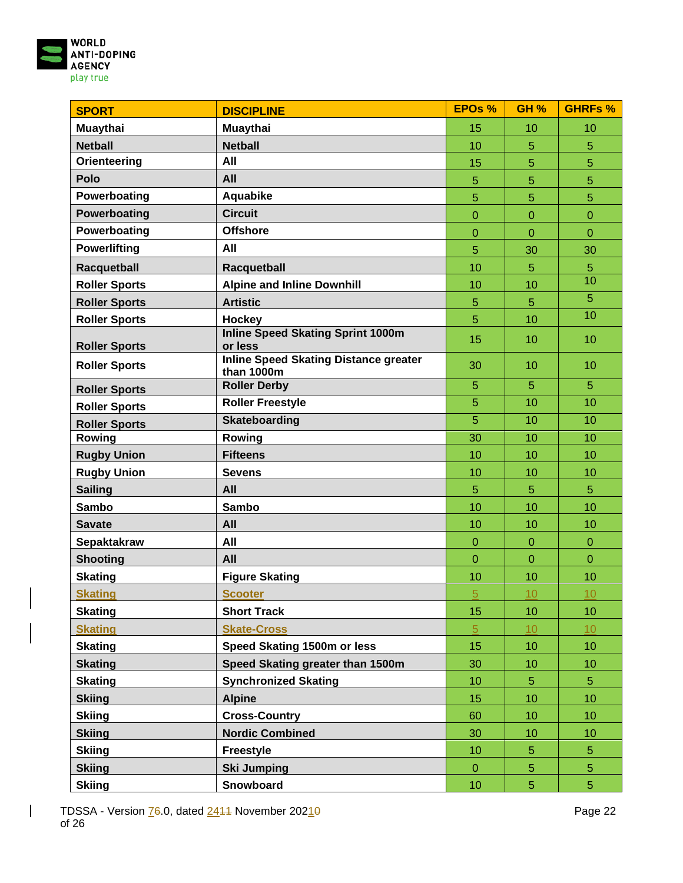

| <b>SPORT</b>         | <b>DISCIPLINE</b>                                          | <b>EPOs %</b>  | <b>GH %</b>      | <b>GHRFs %</b> |
|----------------------|------------------------------------------------------------|----------------|------------------|----------------|
| <b>Muaythai</b>      | Muaythai                                                   | 15             | 10               | 10             |
| <b>Netball</b>       | <b>Netball</b>                                             | 10             | 5                | 5              |
| Orienteering         | All                                                        | 15             | 5                | 5              |
| Polo                 | All                                                        | 5              | 5                | 5              |
| Powerboating         | Aquabike                                                   | 5              | 5                | 5              |
| Powerboating         | <b>Circuit</b>                                             | $\overline{0}$ | $\overline{0}$   | $\overline{0}$ |
| Powerboating         | <b>Offshore</b>                                            | $\overline{0}$ | $\overline{0}$   | $\overline{0}$ |
| <b>Powerlifting</b>  | All                                                        | 5              | 30               | 30             |
| Racquetball          | Racquetball                                                | 10             | 5                | 5              |
| <b>Roller Sports</b> | <b>Alpine and Inline Downhill</b>                          | 10             | 10               | 10             |
| <b>Roller Sports</b> | <b>Artistic</b>                                            | 5              | 5                | 5              |
| <b>Roller Sports</b> | <b>Hockey</b>                                              | 5              | 10               | 10             |
| <b>Roller Sports</b> | <b>Inline Speed Skating Sprint 1000m</b><br>or less        | 15             | 10               | 10             |
| <b>Roller Sports</b> | <b>Inline Speed Skating Distance greater</b><br>than 1000m | 30             | 10               | 10             |
| <b>Roller Sports</b> | <b>Roller Derby</b>                                        | 5              | $\overline{5}$   | 5              |
| <b>Roller Sports</b> | <b>Roller Freestyle</b>                                    | 5              | 10               | 10             |
| <b>Roller Sports</b> | <b>Skateboarding</b>                                       | $\overline{5}$ | 10               | 10             |
| Rowing               | Rowing                                                     | 30             | 10               | 10             |
| <b>Rugby Union</b>   | <b>Fifteens</b>                                            | 10             | 10               | 10             |
| <b>Rugby Union</b>   | <b>Sevens</b>                                              | 10             | 10               | 10             |
| <b>Sailing</b>       | All                                                        | 5              | 5                | $\overline{5}$ |
| <b>Sambo</b>         | <b>Sambo</b>                                               | 10             | 10               | 10             |
| <b>Savate</b>        | All                                                        | 10             | 10               | 10             |
| Sepaktakraw          | All                                                        | $\mathbf 0$    | $\boldsymbol{0}$ | $\mathbf{0}$   |
| <b>Shooting</b>      | All                                                        | $\overline{0}$ | $\overline{0}$   | $\overline{0}$ |
| <b>Skating</b>       | <b>Figure Skating</b>                                      | 10             | 10               | 10             |
| <b>Skating</b>       | <b>Scooter</b>                                             | 5              | 10               | 10             |
| <b>Skating</b>       | <b>Short Track</b>                                         | 15             | 10               | 10             |
| <b>Skating</b>       | <b>Skate-Cross</b>                                         | $\sqrt{5}$     | 10               | 10             |
| <b>Skating</b>       | Speed Skating 1500m or less                                | 15             | 10               | 10             |
| <b>Skating</b>       | Speed Skating greater than 1500m                           | 30             | 10               | 10             |
| <b>Skating</b>       | <b>Synchronized Skating</b>                                | 10             | 5                | $\overline{5}$ |
| <b>Skiing</b>        | <b>Alpine</b>                                              | 15             | 10               | 10             |
| <b>Skiing</b>        | <b>Cross-Country</b>                                       | 60             | 10 <sup>1</sup>  | 10             |
| <b>Skiing</b>        | <b>Nordic Combined</b>                                     | 30             | 10               | 10             |
| <b>Skiing</b>        | <b>Freestyle</b>                                           | 10             | 5                | $\overline{5}$ |
| <b>Skiing</b>        | <b>Ski Jumping</b>                                         | $\overline{0}$ | 5                | $\overline{5}$ |
| <b>Skiing</b>        | Snowboard                                                  | 10             | 5                | $\overline{5}$ |

 $\overline{\phantom{a}}$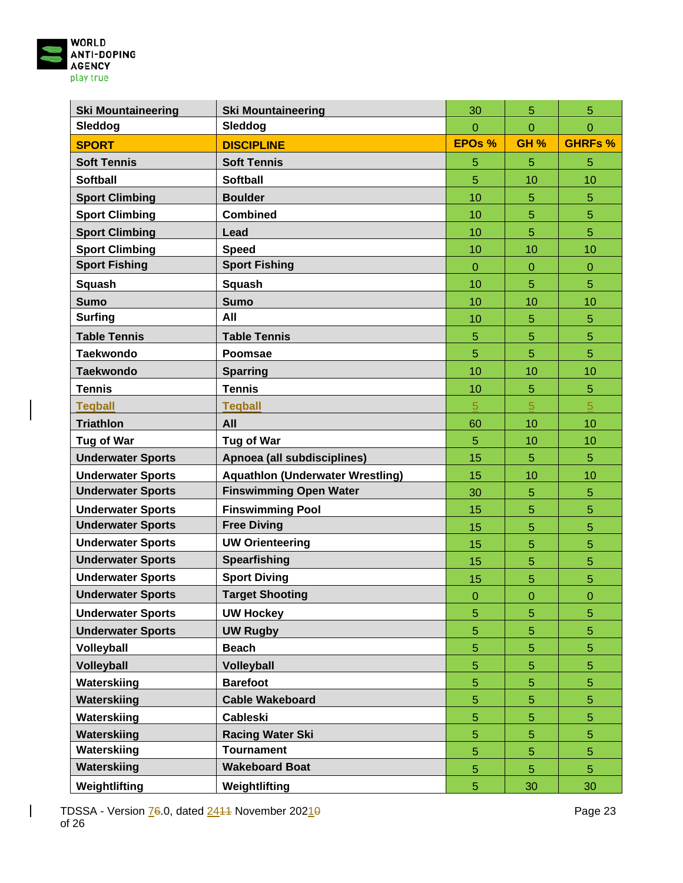

| <b>Ski Mountaineering</b> | <b>Ski Mountaineering</b>               | 30             | 5              | 5              |
|---------------------------|-----------------------------------------|----------------|----------------|----------------|
| Sleddog                   | Sleddog                                 | $\Omega$       | $\overline{0}$ | $\overline{0}$ |
| <b>SPORT</b>              | <b>DISCIPLINE</b>                       | EPOs %         | <b>GH %</b>    | <b>GHRFs %</b> |
| <b>Soft Tennis</b>        | <b>Soft Tennis</b>                      | 5              | 5              | 5              |
| <b>Softball</b>           | <b>Softball</b>                         | 5              | 10             | 10             |
| <b>Sport Climbing</b>     | <b>Boulder</b>                          | 10             | 5              | 5              |
| <b>Sport Climbing</b>     | <b>Combined</b>                         | 10             | 5              | 5              |
| <b>Sport Climbing</b>     | Lead                                    | 10             | 5              | $\overline{5}$ |
| <b>Sport Climbing</b>     | <b>Speed</b>                            | 10             | 10             | 10             |
| <b>Sport Fishing</b>      | <b>Sport Fishing</b>                    | $\overline{0}$ | $\overline{0}$ | $\overline{0}$ |
| Squash                    | Squash                                  | 10             | 5              | 5              |
| <b>Sumo</b>               | <b>Sumo</b>                             | 10             | 10             | 10             |
| <b>Surfing</b>            | All                                     | 10             | 5              | $\overline{5}$ |
| <b>Table Tennis</b>       | <b>Table Tennis</b>                     | 5              | 5              | 5              |
| <b>Taekwondo</b>          | <b>Poomsae</b>                          | 5              | 5              | 5              |
| <b>Taekwondo</b>          | <b>Sparring</b>                         | 10             | 10             | 10             |
| <b>Tennis</b>             | <b>Tennis</b>                           | 10             | 5              | 5              |
| <b>Tegball</b>            | <b>Tegball</b>                          | $\overline{5}$ | 5              | $\overline{5}$ |
| <b>Triathlon</b>          | All                                     | 60             | 10             | 10             |
| Tug of War                | Tug of War                              | 5              | 10             | 10             |
| <b>Underwater Sports</b>  | Apnoea (all subdisciplines)             | 15             | 5              | 5              |
| <b>Underwater Sports</b>  | <b>Aquathlon (Underwater Wrestling)</b> | 15             | 10             | 10             |
| <b>Underwater Sports</b>  | <b>Finswimming Open Water</b>           | 30             | 5              | 5              |
| <b>Underwater Sports</b>  | <b>Finswimming Pool</b>                 | 15             | 5              | 5              |
| <b>Underwater Sports</b>  | <b>Free Diving</b>                      | 15             | 5              | 5              |
| <b>Underwater Sports</b>  | <b>UW Orienteering</b>                  | 15             | 5              | 5              |
| <b>Underwater Sports</b>  | <b>Spearfishing</b>                     | 15             | 5              | 5              |
| <b>Underwater Sports</b>  | <b>Sport Diving</b>                     | 15             | 5              | 5              |
| <b>Underwater Sports</b>  | <b>Target Shooting</b>                  | $\overline{0}$ | $\overline{0}$ | $\overline{0}$ |
| <b>Underwater Sports</b>  | <b>UW Hockey</b>                        | 5              | 5              | $\overline{5}$ |
| <b>Underwater Sports</b>  | <b>UW Rugby</b>                         | 5              | 5              | 5              |
| Volleyball                | <b>Beach</b>                            | 5              | 5              | 5              |
| <b>Volleyball</b>         | Volleyball                              | 5              | 5              | 5              |
| Waterskiing               | <b>Barefoot</b>                         | 5              | 5              | 5              |
| Waterskiing               | <b>Cable Wakeboard</b>                  | $\overline{5}$ | 5              | 5              |
| Waterskiing               | <b>Cableski</b>                         | $\overline{5}$ | 5              | 5              |
| Waterskiing               | <b>Racing Water Ski</b>                 | $\overline{5}$ | 5              | 5              |
| Waterskiing               | <b>Tournament</b>                       | $\overline{5}$ | 5              | 5              |
| Waterskiing               | <b>Wakeboard Boat</b>                   | $\overline{5}$ | 5              | 5              |
| Weightlifting             | Weightlifting                           | 5              | 30             | 30             |

 $\overline{\phantom{a}}$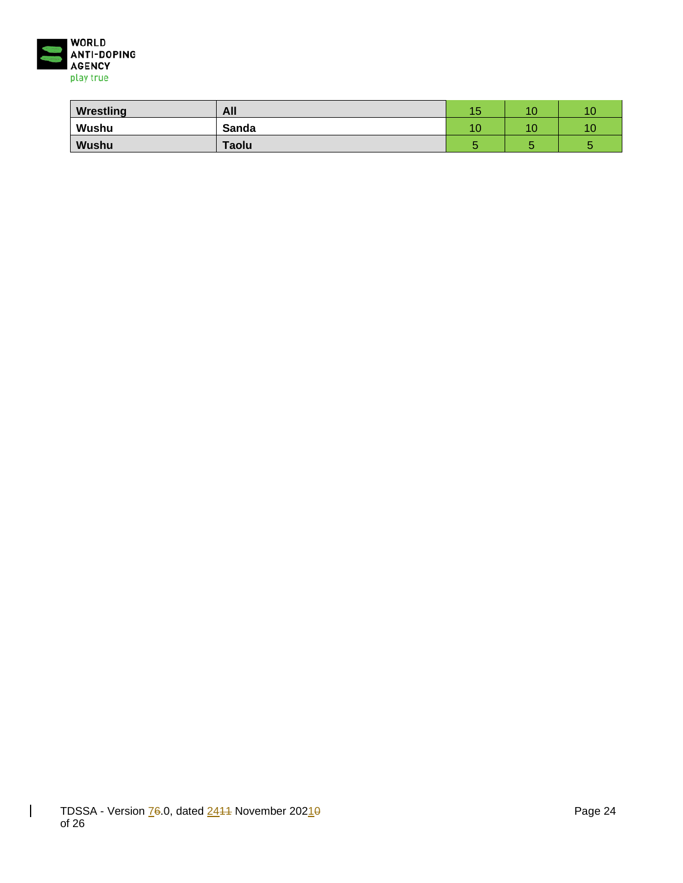

| Wrestling    | All   | 4 F<br>∪ו | 10 | 10 |
|--------------|-------|-----------|----|----|
| Wushu        | Sanda | 10        | 10 | 10 |
| <b>Wushu</b> | Taolu |           |    |    |

 $\overline{\phantom{a}}$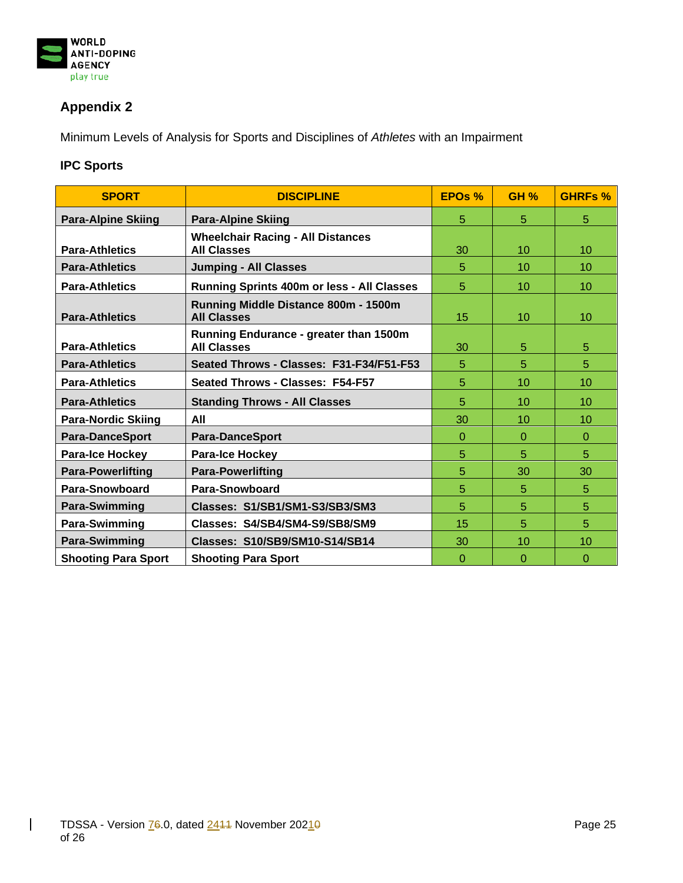

## **Appendix 2**

Minimum Levels of Analysis for Sports and Disciplines of *Athletes* with an Impairment

### **IPC Sports**

| <b>SPORT</b>               | <b>DISCIPLINE</b>                                                   | EPO <sub>s</sub> % | <b>GH %</b>      | <b>GHRFs %</b> |
|----------------------------|---------------------------------------------------------------------|--------------------|------------------|----------------|
| <b>Para-Alpine Skiing</b>  | <b>Para-Alpine Skiing</b>                                           | 5                  | 5                | 5              |
| <b>Para-Athletics</b>      | <b>Wheelchair Racing - All Distances</b><br><b>All Classes</b>      | 30                 | 10               | 10             |
| <b>Para-Athletics</b>      | <b>Jumping - All Classes</b>                                        | 5                  | 10 <sup>10</sup> | 10             |
| <b>Para-Athletics</b>      | <b>Running Sprints 400m or less - All Classes</b>                   | 5                  | 10               | 10             |
| <b>Para-Athletics</b>      | Running Middle Distance 800m - 1500m<br><b>All Classes</b>          | 15                 | 10 <sup>10</sup> | 10             |
| <b>Para-Athletics</b>      | <b>Running Endurance - greater than 1500m</b><br><b>All Classes</b> | 30                 | 5                | 5              |
| <b>Para-Athletics</b>      | Seated Throws - Classes: F31-F34/F51-F53                            | 5                  | 5                | 5              |
| <b>Para-Athletics</b>      | Seated Throws - Classes: F54-F57                                    | 5                  | 10               | 10             |
| <b>Para-Athletics</b>      | <b>Standing Throws - All Classes</b>                                | 5                  | 10 <sup>1</sup>  | 10             |
| <b>Para-Nordic Skiing</b>  | All                                                                 | 30                 | 10               | 10             |
| <b>Para-DanceSport</b>     | <b>Para-DanceSport</b>                                              | $\Omega$           | $\Omega$         | $\Omega$       |
| <b>Para-Ice Hockey</b>     | <b>Para-Ice Hockey</b>                                              | 5                  | 5                | 5              |
| <b>Para-Powerlifting</b>   | <b>Para-Powerlifting</b>                                            | 5                  | 30               | 30             |
| Para-Snowboard             | Para-Snowboard                                                      | 5                  | 5                | 5              |
| Para-Swimming              | Classes: S1/SB1/SM1-S3/SB3/SM3                                      | 5                  | 5                | 5              |
| Para-Swimming              | Classes: S4/SB4/SM4-S9/SB8/SM9                                      | 15                 | 5                | 5              |
| Para-Swimming              | Classes: S10/SB9/SM10-S14/SB14                                      | 30                 | 10               | 10             |
| <b>Shooting Para Sport</b> | <b>Shooting Para Sport</b>                                          | 0                  | $\Omega$         | 0              |